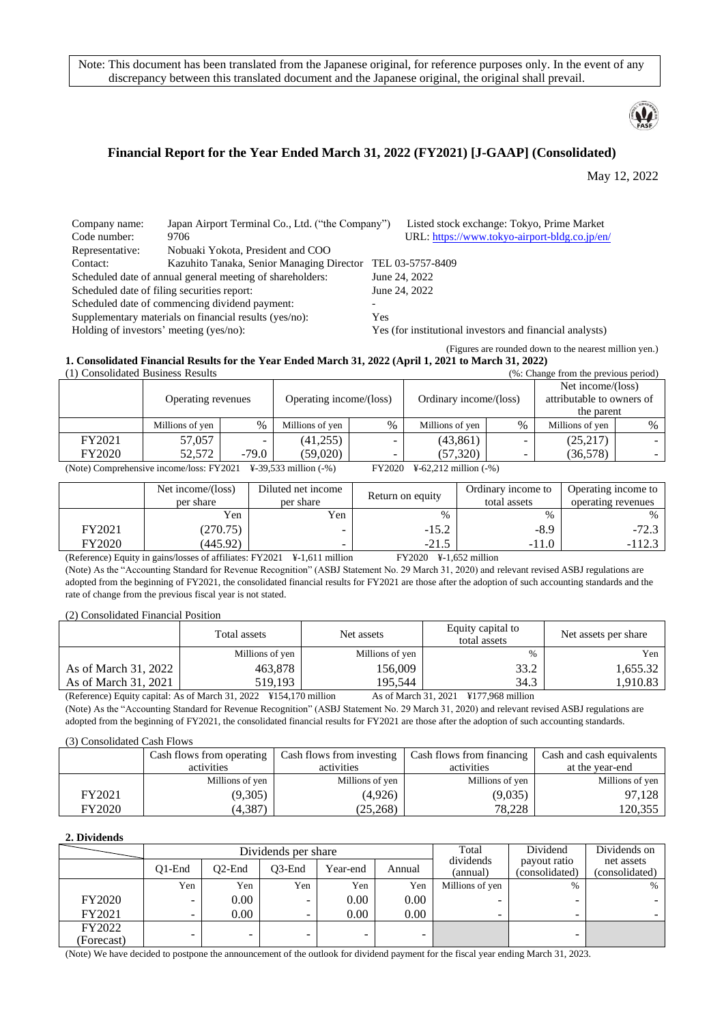Note: This document has been translated from the Japanese original, for reference purposes only. In the event of any discrepancy between this translated document and the Japanese original, the original shall prevail.



## **Financial Report for the Year Ended March 31, 2022 (FY2021) [J-GAAP] (Consolidated)**

May 12, 2022

| Company name:                                          | Japan Airport Terminal Co., Ltd. ("the Company")          |               | Listed stock exchange: Tokyo, Prime Market               |  |  |
|--------------------------------------------------------|-----------------------------------------------------------|---------------|----------------------------------------------------------|--|--|
| Code number:                                           | 9706                                                      |               | URL: https://www.tokyo-airport-bldg.co.jp/en/            |  |  |
| Representative:                                        | Nobuaki Yokota, President and COO                         |               |                                                          |  |  |
| Contact:                                               | Kazuhito Tanaka, Senior Managing Director                 |               | TEL 03-5757-8409                                         |  |  |
|                                                        | Scheduled date of annual general meeting of shareholders: | June 24, 2022 |                                                          |  |  |
| Scheduled date of filing securities report:            |                                                           | June 24, 2022 |                                                          |  |  |
|                                                        | Scheduled date of commencing dividend payment:            |               |                                                          |  |  |
| Supplementary materials on financial results (yes/no): |                                                           |               | Yes                                                      |  |  |
| Holding of investors' meeting (yes/no):                |                                                           |               | Yes (for institutional investors and financial analysts) |  |  |

(Figures are rounded down to the nearest million yen.)

#### **1. Consolidated Financial Results for the Year Ended March 31, 2022 (April 1, 2021 to March 31, 2022)**

| (1) Consolidated Business Results                                                                                            | (%: Change from the previous period) |         |                         |      |                        |      |                           |      |
|------------------------------------------------------------------------------------------------------------------------------|--------------------------------------|---------|-------------------------|------|------------------------|------|---------------------------|------|
|                                                                                                                              |                                      |         |                         |      |                        |      | Net income/(loss)         |      |
|                                                                                                                              | Operating revenues                   |         | Operating income/(loss) |      | Ordinary income/(loss) |      | attributable to owners of |      |
|                                                                                                                              |                                      |         |                         |      |                        |      | the parent                |      |
|                                                                                                                              | Millions of yen                      | $\%$    | Millions of yen         | $\%$ | Millions of yen        | $\%$ | Millions of yen           | $\%$ |
| FY2021                                                                                                                       | 57,057                               |         | (41,255)                |      | (43, 861)              | -    | (25,217)                  |      |
| FY2020                                                                                                                       | 52,572                               | $-79.0$ | (59,020)                |      | (57, 320)              |      | (36,578)                  |      |
| $(N_{\text{orb}})$ Comprehensive income (loss: EV2021 V 20.522 million ( $\alpha$ )<br>$EVO000 - V \leq 2.212$ million ( 0.) |                                      |         |                         |      |                        |      |                           |      |

(Note) Comprehensive income/loss: FY2021 ¥-39,533 million (-%) FY2020 ¥-62,212 million (-%)

|        | Net income/(loss)<br>per share | Diluted net income<br>per share | Return on equity | Ordinary income to<br>total assets | Operating income to<br>operating revenues |
|--------|--------------------------------|---------------------------------|------------------|------------------------------------|-------------------------------------------|
|        | Yen                            | Yen                             | $\%$             | %                                  | $\%$                                      |
| FY2021 | (270.75)                       |                                 | $-15.2$          | $-8.9$                             | $-72.3$                                   |
| FY2020 | (445.92)                       |                                 | $-21.5$          | $-11.0$                            | $-112.3$                                  |

(Reference) Equity in gains/losses of affiliates: FY2021 ¥-1,611 million FY2020 ¥-1,652 million (Note) As the "Accounting Standard for Revenue Recognition" (ASBJ Statement No. 29 March 31, 2020) and relevant revised ASBJ regulations are adopted from the beginning of FY2021, the consolidated financial results for FY2021 are those after the adoption of such accounting standards and the rate of change from the previous fiscal year is not stated.

(2) Consolidated Financial Position

|                      | Total assets    | Net assets      | Equity capital to<br>total assets                                                                      | Net assets per share |  |
|----------------------|-----------------|-----------------|--------------------------------------------------------------------------------------------------------|----------------------|--|
|                      | Millions of yen | Millions of yen | %                                                                                                      | Yen                  |  |
| As of March 31, 2022 | 463.878         | 156,009         | 33.2                                                                                                   | 1,655.32             |  |
| As of March 31, 2021 | 519.193         | 195.544         | 34.3                                                                                                   | .910.83              |  |
| $\sim$               | $\sim$ $\sim$   |                 | <br>$\mathbf{v}$ and $\mathbf{v}$ and $\mathbf{v}$<br>$\sim$ $\sim$ $\sim$ $\sim$ $\sim$ $\sim$ $\sim$ |                      |  |

(Reference) Equity capital: As of March 31, 2022 ¥154,170 million As of March 31, 2021 ¥177,968 million (Note) As the "Accounting Standard for Revenue Recognition" (ASBJ Statement No. 29 March 31, 2020) and relevant revised ASBJ regulations are adopted from the beginning of FY2021, the consolidated financial results for FY2021 are those after the adoption of such accounting standards.

#### (3) Consolidated Cash Flows

|        | Cash flows from operating<br>activities | Cash flows from investing<br>activities | Cash flows from financing<br>activities | Cash and cash equivalents<br>at the year-end |
|--------|-----------------------------------------|-----------------------------------------|-----------------------------------------|----------------------------------------------|
|        | Millions of yen                         | Millions of yen                         | Millions of yen                         | Millions of yen                              |
| FY2021 | (9,305)                                 | (4,926)                                 | (9,035)                                 | 97.128                                       |
| FY2020 | (4.387)                                 | (25, 268)                               | 78.228                                  | 120,355                                      |

#### **2. Dividends**

|                      |           |           | Dividends per share      | Total    | Dividend | Dividends on          |                                |                              |
|----------------------|-----------|-----------|--------------------------|----------|----------|-----------------------|--------------------------------|------------------------------|
|                      | $O1$ -End | $O2$ -End | O3-End                   | Year-end | Annual   | dividends<br>(annual) | payout ratio<br>(consolidated) | net assets<br>(consolidated) |
|                      | Yen       | Yen       | Yen                      | Yen      | Yen      | Millions of yen       | $\%$                           | $\%$                         |
| <b>FY2020</b>        | ۰.        | 0.00      | $\overline{\phantom{0}}$ | 0.00     | 0.00     | ۰                     |                                |                              |
| FY2021               | -         | 0.00      | $\overline{\phantom{0}}$ | 0.00     | 0.00     | ۰                     | -                              |                              |
| FY2022<br>(Forecast) | -         | -         | $\sim$                   |          | -        |                       |                                |                              |

(Note) We have decided to postpone the announcement of the outlook for dividend payment for the fiscal year ending March 31, 2023.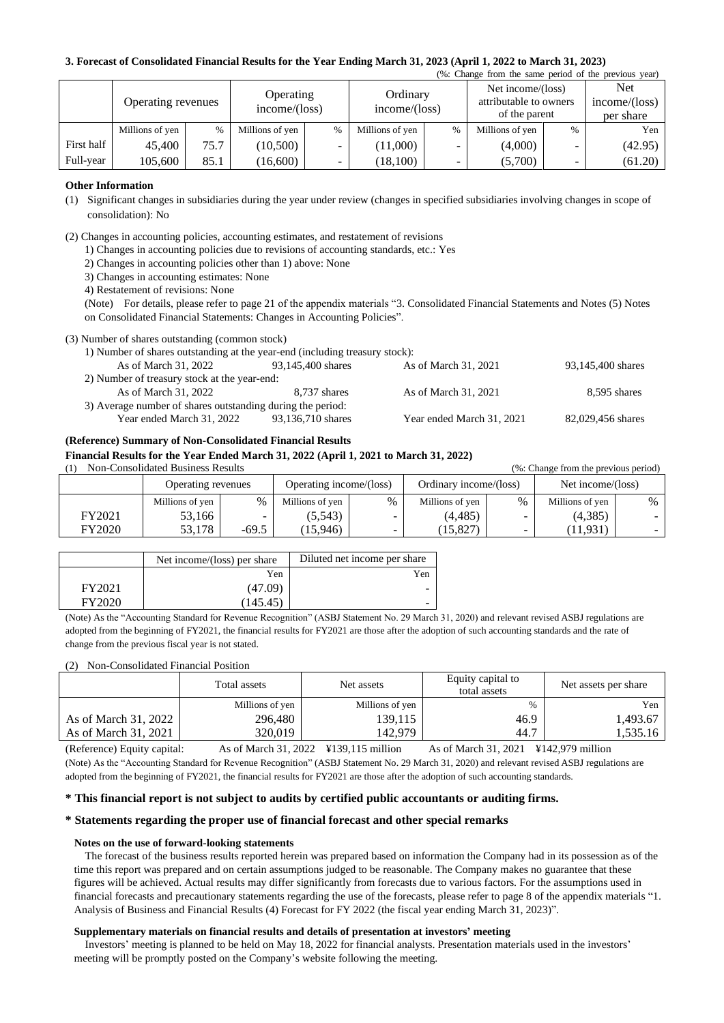#### **3. Forecast of Consolidated Financial Results for the Year Ending March 31, 2023 (April 1, 2022 to March 31, 2023)**

| (%: Change from the same period of the previous year) |                    |               |                            |                          |                           |               |                                                              |      |                                          |  |
|-------------------------------------------------------|--------------------|---------------|----------------------------|--------------------------|---------------------------|---------------|--------------------------------------------------------------|------|------------------------------------------|--|
|                                                       | Operating revenues |               | Operating<br>income/(loss) |                          | Ordinary<br>income/(loss) |               | Net income/(loss)<br>attributable to owners<br>of the parent |      | <b>Net</b><br>income/(loss)<br>per share |  |
|                                                       | Millions of yen    | $\frac{0}{6}$ | Millions of yen            | %                        | Millions of yen           | $\frac{0}{0}$ | Millions of yen                                              | $\%$ | Yen                                      |  |
| First half                                            | 45,400             | 75.7          | (10, 500)                  | $\overline{\phantom{a}}$ | (11,000)                  | -             | (4,000)                                                      |      | (42.95)                                  |  |
| Full-year                                             | 105,600            | 85.1          | (16,600)                   | $\overline{\phantom{0}}$ | (18, 100)                 |               | (5,700)                                                      | -    | (61.20)                                  |  |

#### **Other Information**

- (1) Significant changes in subsidiaries during the year under review (changes in specified subsidiaries involving changes in scope of consolidation): No
- (2) Changes in accounting policies, accounting estimates, and restatement of revisions
	- 1) Changes in accounting policies due to revisions of accounting standards, etc.: Yes
		- 2) Changes in accounting policies other than 1) above: None
	- 3) Changes in accounting estimates: None
	- 4) Restatement of revisions: None

(Note) For details, please refer to page 21 of the appendix materials "3. Consolidated Financial Statements and Notes (5) Notes on Consolidated Financial Statements: Changes in Accounting Policies".

#### (3) Number of shares outstanding (common stock)

| 93,145,400 shares |
|-------------------|
|                   |
| 8,595 shares      |
|                   |
| 82,029,456 shares |
|                   |

#### **(Reference) Summary of Non-Consolidated Financial Results**

#### **Financial Results for the Year Ended March 31, 2022 (April 1, 2021 to March 31, 2022)**

(1) Non-Consolidated Business Results (%: Change from the previous period)

|        | Operating revenues |         | Operating income/(loss) |   | Ordinary income/(loss) |               | Net income/(loss) |   |
|--------|--------------------|---------|-------------------------|---|------------------------|---------------|-------------------|---|
|        | Millions of yen    | $\%$    | Millions of yen         | % | Millions of yen        | $\frac{0}{0}$ | Millions of yen   | % |
| FY2021 | 53.166             |         | (5, 543)                |   | (4, 485)               | -             | (4,385)           |   |
| FY2020 | 53.178             | $-69.5$ | (15,946)                |   | (15, 827)              | -             | 11,931            |   |

|        | Net income/(loss) per share | Diluted net income per share |
|--------|-----------------------------|------------------------------|
|        | Yen                         | Yen                          |
| FY2021 | (47.09)                     |                              |
| EV2020 | 145.45                      |                              |

(Note) As the "Accounting Standard for Revenue Recognition" (ASBJ Statement No. 29 March 31, 2020) and relevant revised ASBJ regulations are adopted from the beginning of FY2021, the financial results for FY2021 are those after the adoption of such accounting standards and the rate of change from the previous fiscal year is not stated.

#### (2) Non-Consolidated Financial Position

|                      | Total assets    | Net assets      | Equity capital to<br>total assets | Net assets per share |
|----------------------|-----------------|-----------------|-----------------------------------|----------------------|
|                      | Millions of yen | Millions of yen | $\%$                              | Yen                  |
| As of March 31, 2022 | 296,480         | 139,115         | 46.9                              | 1,493.67             |
| As of March 31, 2021 | 320.019         | 142.979         | 44.7                              | 1,535.16             |

(Reference) Equity capital: As of March 31, 2022 ¥139,115 million As of March 31, 2021 ¥142,979 million (Note) As the "Accounting Standard for Revenue Recognition" (ASBJ Statement No. 29 March 31, 2020) and relevant revised ASBJ regulations are adopted from the beginning of FY2021, the financial results for FY2021 are those after the adoption of such accounting standards.

#### **\* This financial report is not subject to audits by certified public accountants or auditing firms.**

#### **\* Statements regarding the proper use of financial forecast and other special remarks**

#### **Notes on the use of forward-looking statements**

The forecast of the business results reported herein was prepared based on information the Company had in its possession as of the time this report was prepared and on certain assumptions judged to be reasonable. The Company makes no guarantee that these figures will be achieved. Actual results may differ significantly from forecasts due to various factors. For the assumptions used in financial forecasts and precautionary statements regarding the use of the forecasts, please refer to page 8 of the appendix materials "1. Analysis of Business and Financial Results (4) Forecast for FY 2022 (the fiscal year ending March 31, 2023)".

#### **Supplementary materials on financial results and details of presentation at investors' meeting**

Investors' meeting is planned to be held on May 18, 2022 for financial analysts. Presentation materials used in the investors' meeting will be promptly posted on the Company's website following the meeting.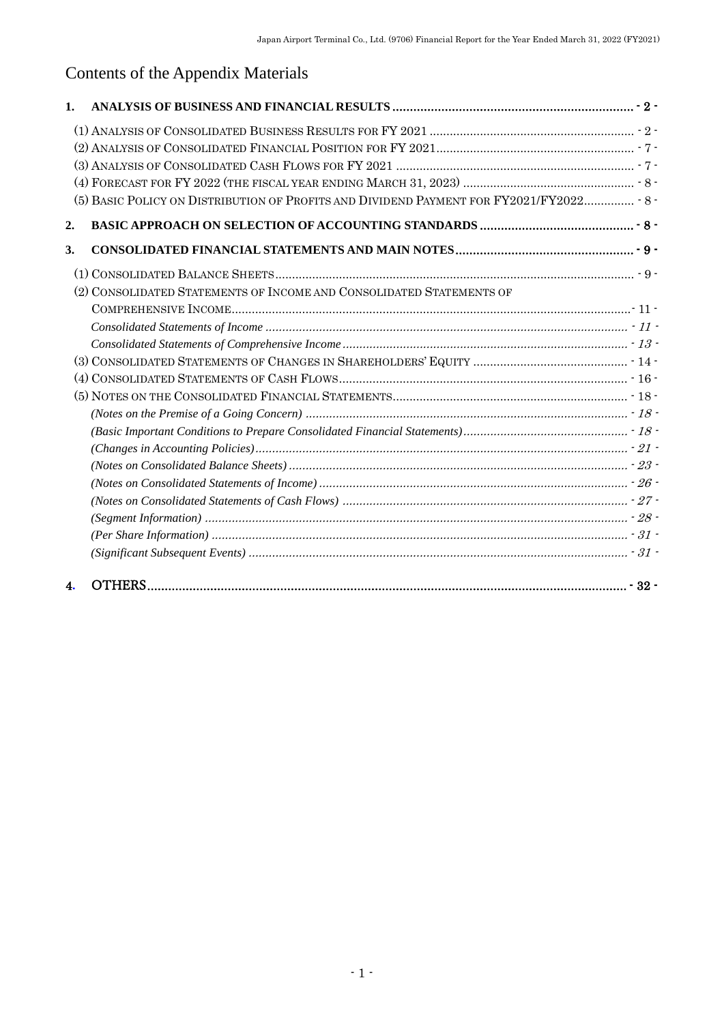# Contents of the Appendix Materials

| 1. |                                                                                        |  |
|----|----------------------------------------------------------------------------------------|--|
|    |                                                                                        |  |
|    |                                                                                        |  |
|    |                                                                                        |  |
|    |                                                                                        |  |
|    | (5) BASIC POLICY ON DISTRIBUTION OF PROFITS AND DIVIDEND PAYMENT FOR FY2021/FY2022 8 - |  |
| 2. |                                                                                        |  |
| 3. |                                                                                        |  |
|    |                                                                                        |  |
|    | (2) CONSOLIDATED STATEMENTS OF INCOME AND CONSOLIDATED STATEMENTS OF                   |  |
|    |                                                                                        |  |
|    |                                                                                        |  |
|    |                                                                                        |  |
|    |                                                                                        |  |
|    |                                                                                        |  |
|    |                                                                                        |  |
|    |                                                                                        |  |
|    |                                                                                        |  |
|    |                                                                                        |  |
|    |                                                                                        |  |
|    |                                                                                        |  |
|    |                                                                                        |  |
|    |                                                                                        |  |
|    |                                                                                        |  |
|    |                                                                                        |  |
| 4. |                                                                                        |  |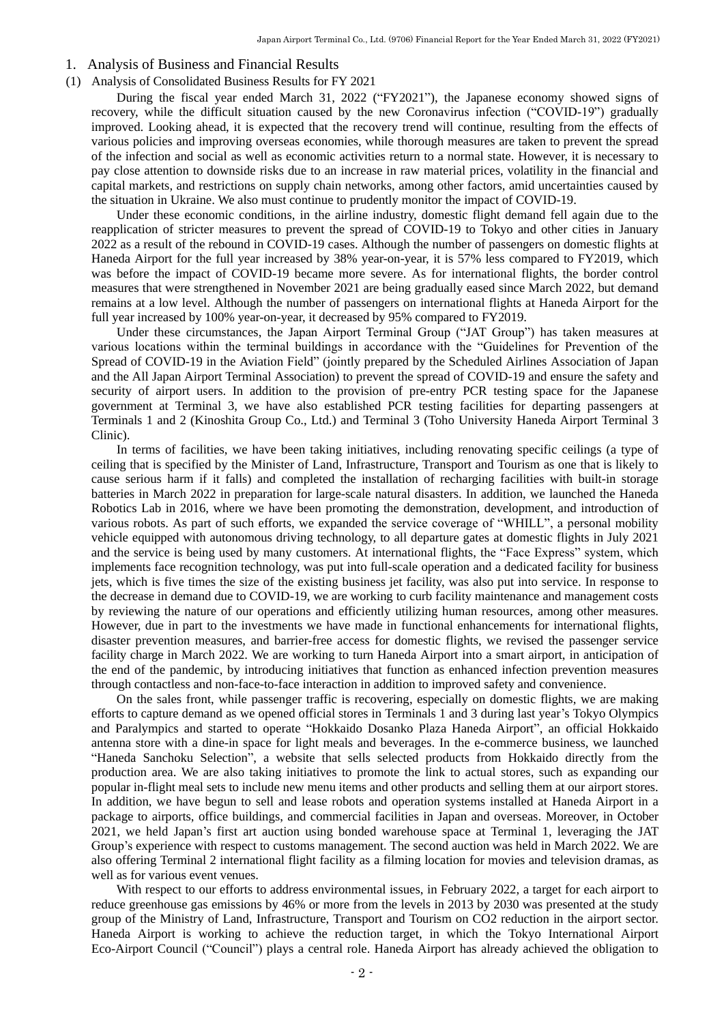#### <span id="page-3-0"></span>1. Analysis of Business and Financial Results

#### <span id="page-3-1"></span>(1) Analysis of Consolidated Business Results for FY 2021

During the fiscal year ended March 31, 2022 ("FY2021"), the Japanese economy showed signs of recovery, while the difficult situation caused by the new Coronavirus infection ("COVID-19") gradually improved. Looking ahead, it is expected that the recovery trend will continue, resulting from the effects of various policies and improving overseas economies, while thorough measures are taken to prevent the spread of the infection and social as well as economic activities return to a normal state. However, it is necessary to pay close attention to downside risks due to an increase in raw material prices, volatility in the financial and capital markets, and restrictions on supply chain networks, among other factors, amid uncertainties caused by the situation in Ukraine. We also must continue to prudently monitor the impact of COVID-19.

Under these economic conditions, in the airline industry, domestic flight demand fell again due to the reapplication of stricter measures to prevent the spread of COVID-19 to Tokyo and other cities in January 2022 as a result of the rebound in COVID-19 cases. Although the number of passengers on domestic flights at Haneda Airport for the full year increased by 38% year-on-year, it is 57% less compared to FY2019, which was before the impact of COVID-19 became more severe. As for international flights, the border control measures that were strengthened in November 2021 are being gradually eased since March 2022, but demand remains at a low level. Although the number of passengers on international flights at Haneda Airport for the full year increased by 100% year-on-year, it decreased by 95% compared to FY2019.

Under these circumstances, the Japan Airport Terminal Group ("JAT Group") has taken measures at various locations within the terminal buildings in accordance with the "Guidelines for Prevention of the Spread of COVID-19 in the Aviation Field" (jointly prepared by the Scheduled Airlines Association of Japan and the All Japan Airport Terminal Association) to prevent the spread of COVID-19 and ensure the safety and security of airport users. In addition to the provision of pre-entry PCR testing space for the Japanese government at Terminal 3, we have also established PCR testing facilities for departing passengers at Terminals 1 and 2 (Kinoshita Group Co., Ltd.) and Terminal 3 (Toho University Haneda Airport Terminal 3 Clinic).

In terms of facilities, we have been taking initiatives, including renovating specific ceilings (a type of ceiling that is specified by the Minister of Land, Infrastructure, Transport and Tourism as one that is likely to cause serious harm if it falls) and completed the installation of recharging facilities with built-in storage batteries in March 2022 in preparation for large-scale natural disasters. In addition, we launched the Haneda Robotics Lab in 2016, where we have been promoting the demonstration, development, and introduction of various robots. As part of such efforts, we expanded the service coverage of "WHILL", a personal mobility vehicle equipped with autonomous driving technology, to all departure gates at domestic flights in July 2021 and the service is being used by many customers. At international flights, the "Face Express" system, which implements face recognition technology, was put into full-scale operation and a dedicated facility for business jets, which is five times the size of the existing business jet facility, was also put into service. In response to the decrease in demand due to COVID-19, we are working to curb facility maintenance and management costs by reviewing the nature of our operations and efficiently utilizing human resources, among other measures. However, due in part to the investments we have made in functional enhancements for international flights, disaster prevention measures, and barrier-free access for domestic flights, we revised the passenger service facility charge in March 2022. We are working to turn Haneda Airport into a smart airport, in anticipation of the end of the pandemic, by introducing initiatives that function as enhanced infection prevention measures through contactless and non-face-to-face interaction in addition to improved safety and convenience.

On the sales front, while passenger traffic is recovering, especially on domestic flights, we are making efforts to capture demand as we opened official stores in Terminals 1 and 3 during last year's Tokyo Olympics and Paralympics and started to operate "Hokkaido Dosanko Plaza Haneda Airport", an official Hokkaido antenna store with a dine-in space for light meals and beverages. In the e-commerce business, we launched "Haneda Sanchoku Selection", a website that sells selected products from Hokkaido directly from the production area. We are also taking initiatives to promote the link to actual stores, such as expanding our popular in-flight meal sets to include new menu items and other products and selling them at our airport stores. In addition, we have begun to sell and lease robots and operation systems installed at Haneda Airport in a package to airports, office buildings, and commercial facilities in Japan and overseas. Moreover, in October 2021, we held Japan's first art auction using bonded warehouse space at Terminal 1, leveraging the JAT Group's experience with respect to customs management. The second auction was held in March 2022. We are also offering Terminal 2 international flight facility as a filming location for movies and television dramas, as well as for various event venues.

With respect to our efforts to address environmental issues, in February 2022, a target for each airport to reduce greenhouse gas emissions by 46% or more from the levels in 2013 by 2030 was presented at the study group of the Ministry of Land, Infrastructure, Transport and Tourism on CO2 reduction in the airport sector. Haneda Airport is working to achieve the reduction target, in which the Tokyo International Airport Eco-Airport Council ("Council") plays a central role. Haneda Airport has already achieved the obligation to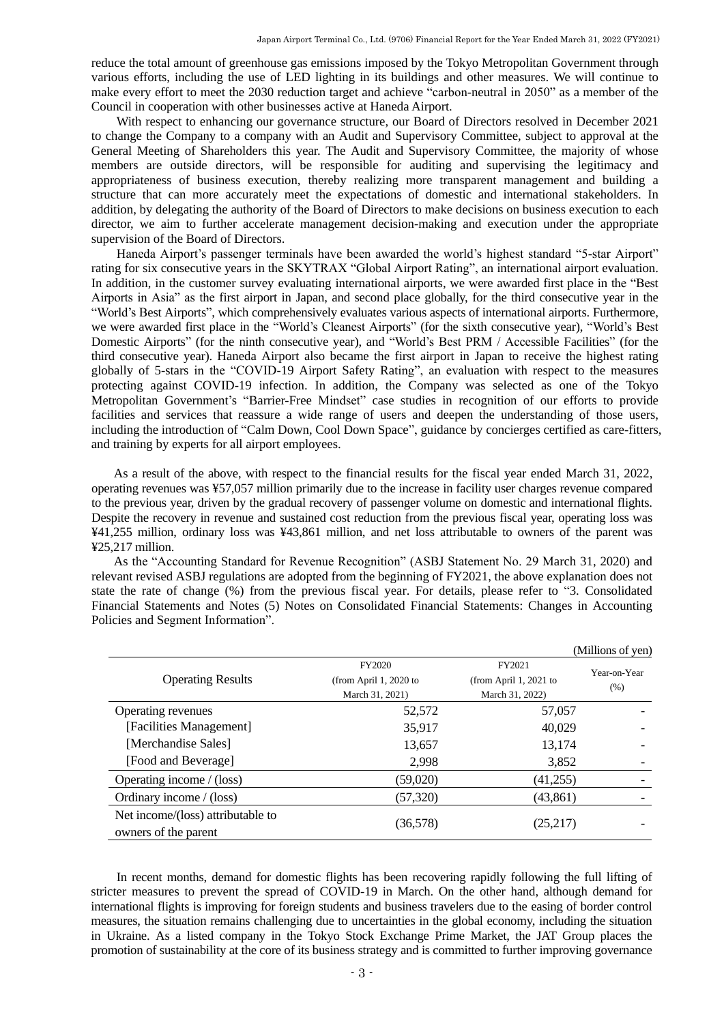reduce the total amount of greenhouse gas emissions imposed by the Tokyo Metropolitan Government through various efforts, including the use of LED lighting in its buildings and other measures. We will continue to make every effort to meet the 2030 reduction target and achieve "carbon-neutral in 2050" as a member of the Council in cooperation with other businesses active at Haneda Airport.

With respect to enhancing our governance structure, our Board of Directors resolved in December 2021 to change the Company to a company with an Audit and Supervisory Committee, subject to approval at the General Meeting of Shareholders this year. The Audit and Supervisory Committee, the majority of whose members are outside directors, will be responsible for auditing and supervising the legitimacy and appropriateness of business execution, thereby realizing more transparent management and building a structure that can more accurately meet the expectations of domestic and international stakeholders. In addition, by delegating the authority of the Board of Directors to make decisions on business execution to each director, we aim to further accelerate management decision-making and execution under the appropriate supervision of the Board of Directors.

Haneda Airport's passenger terminals have been awarded the world's highest standard "5-star Airport" rating for six consecutive years in the SKYTRAX "Global Airport Rating", an international airport evaluation. In addition, in the customer survey evaluating international airports, we were awarded first place in the "Best Airports in Asia" as the first airport in Japan, and second place globally, for the third consecutive year in the "World's Best Airports", which comprehensively evaluates various aspects of international airports. Furthermore, we were awarded first place in the "World's Cleanest Airports" (for the sixth consecutive year), "World's Best Domestic Airports" (for the ninth consecutive year), and "World's Best PRM / Accessible Facilities" (for the third consecutive year). Haneda Airport also became the first airport in Japan to receive the highest rating globally of 5-stars in the "COVID-19 Airport Safety Rating", an evaluation with respect to the measures protecting against COVID-19 infection. In addition, the Company was selected as one of the Tokyo Metropolitan Government's "Barrier-Free Mindset" case studies in recognition of our efforts to provide facilities and services that reassure a wide range of users and deepen the understanding of those users, including the introduction of "Calm Down, Cool Down Space", guidance by concierges certified as care-fitters, and training by experts for all airport employees.

As a result of the above, with respect to the financial results for the fiscal year ended March 31, 2022, operating revenues was ¥57,057 million primarily due to the increase in facility user charges revenue compared to the previous year, driven by the gradual recovery of passenger volume on domestic and international flights. Despite the recovery in revenue and sustained cost reduction from the previous fiscal year, operating loss was ¥41,255 million, ordinary loss was ¥43,861 million, and net loss attributable to owners of the parent was ¥25,217 million.

As the "Accounting Standard for Revenue Recognition" (ASBJ Statement No. 29 March 31, 2020) and relevant revised ASBJ regulations are adopted from the beginning of FY2021, the above explanation does not state the rate of change (%) from the previous fiscal year. For details, please refer to "3. Consolidated Financial Statements and Notes (5) Notes on Consolidated Financial Statements: Changes in Accounting Policies and Segment Information".

|                                                           |                                                     |                                                     | (Millions of yen)    |
|-----------------------------------------------------------|-----------------------------------------------------|-----------------------------------------------------|----------------------|
| <b>Operating Results</b>                                  | FY2020<br>(from April 1, 2020 to<br>March 31, 2021) | FY2021<br>(from April 1, 2021 to<br>March 31, 2022) | Year-on-Year<br>(% ) |
| Operating revenues                                        | 52,572                                              | 57,057                                              |                      |
| [Facilities Management]                                   | 35,917                                              | 40,029                                              |                      |
| [Merchandise Sales]                                       | 13,657                                              | 13,174                                              |                      |
| [Food and Beverage]                                       | 2,998                                               | 3,852                                               |                      |
| Operating income / (loss)                                 | (59,020)                                            | (41,255)                                            |                      |
| Ordinary income / (loss)                                  | (57, 320)                                           | (43, 861)                                           |                      |
| Net income/(loss) attributable to<br>owners of the parent | (36,578)                                            | (25,217)                                            |                      |

In recent months, demand for domestic flights has been recovering rapidly following the full lifting of stricter measures to prevent the spread of COVID-19 in March. On the other hand, although demand for international flights is improving for foreign students and business travelers due to the easing of border control measures, the situation remains challenging due to uncertainties in the global economy, including the situation in Ukraine. As a listed company in the Tokyo Stock Exchange Prime Market, the JAT Group places the promotion of sustainability at the core of its business strategy and is committed to further improving governance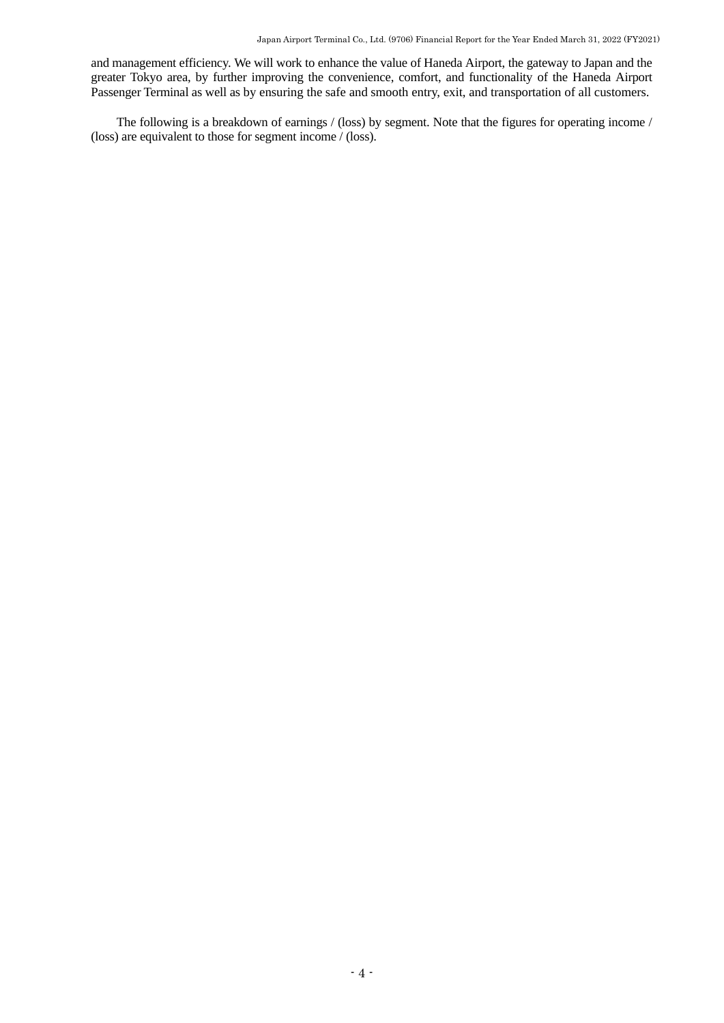and management efficiency. We will work to enhance the value of Haneda Airport, the gateway to Japan and the greater Tokyo area, by further improving the convenience, comfort, and functionality of the Haneda Airport Passenger Terminal as well as by ensuring the safe and smooth entry, exit, and transportation of all customers.

The following is a breakdown of earnings / (loss) by segment. Note that the figures for operating income / (loss) are equivalent to those for segment income / (loss).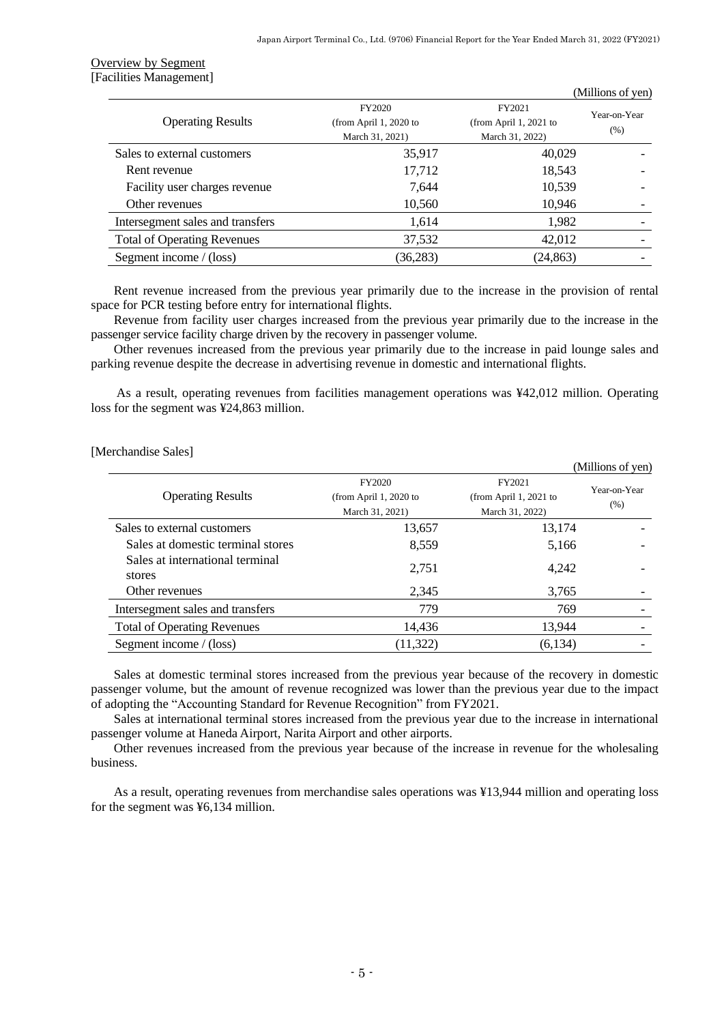## Overview by Segment [Facilities Management]

|                        |                        | (Millions of yen) |
|------------------------|------------------------|-------------------|
| FY2020                 | FY2021                 | Year-on-Year      |
| (from April 1, 2020 to | (from April 1, 2021 to | (% )              |
| March 31, 2021)        | March 31, 2022)        |                   |
| 35,917                 | 40,029                 |                   |
| 17,712                 | 18,543                 |                   |
| 7,644                  | 10,539                 |                   |
| 10,560                 | 10,946                 |                   |
| 1,614                  | 1,982                  |                   |
| 37,532                 | 42,012                 |                   |
| (36, 283)              | (24, 863)              |                   |
|                        |                        |                   |

Rent revenue increased from the previous year primarily due to the increase in the provision of rental space for PCR testing before entry for international flights.

Revenue from facility user charges increased from the previous year primarily due to the increase in the passenger service facility charge driven by the recovery in passenger volume.

Other revenues increased from the previous year primarily due to the increase in paid lounge sales and parking revenue despite the decrease in advertising revenue in domestic and international flights.

As a result, operating revenues from facilities management operations was ¥42,012 million. Operating loss for the segment was ¥24,863 million.

#### [Merchandise Sales]

|                                           |                                                     |                                                     | (Millions of yen)    |
|-------------------------------------------|-----------------------------------------------------|-----------------------------------------------------|----------------------|
| <b>Operating Results</b>                  | FY2020<br>(from April 1, 2020 to<br>March 31, 2021) | FY2021<br>(from April 1, 2021 to<br>March 31, 2022) | Year-on-Year<br>(% ) |
| Sales to external customers               | 13,657                                              | 13,174                                              |                      |
| Sales at domestic terminal stores         | 8,559                                               | 5,166                                               |                      |
| Sales at international terminal<br>stores | 2,751                                               | 4,242                                               |                      |
| Other revenues                            | 2,345                                               | 3,765                                               |                      |
| Intersegment sales and transfers          | 779                                                 | 769                                                 |                      |
| <b>Total of Operating Revenues</b>        | 14,436                                              | 13,944                                              |                      |
| Segment income / (loss)                   | (11, 322)                                           | (6, 134)                                            |                      |

Sales at domestic terminal stores increased from the previous year because of the recovery in domestic passenger volume, but the amount of revenue recognized was lower than the previous year due to the impact of adopting the "Accounting Standard for Revenue Recognition" from FY2021.

Sales at international terminal stores increased from the previous year due to the increase in international passenger volume at Haneda Airport, Narita Airport and other airports.

Other revenues increased from the previous year because of the increase in revenue for the wholesaling business.

As a result, operating revenues from merchandise sales operations was ¥13,944 million and operating loss for the segment was ¥6,134 million.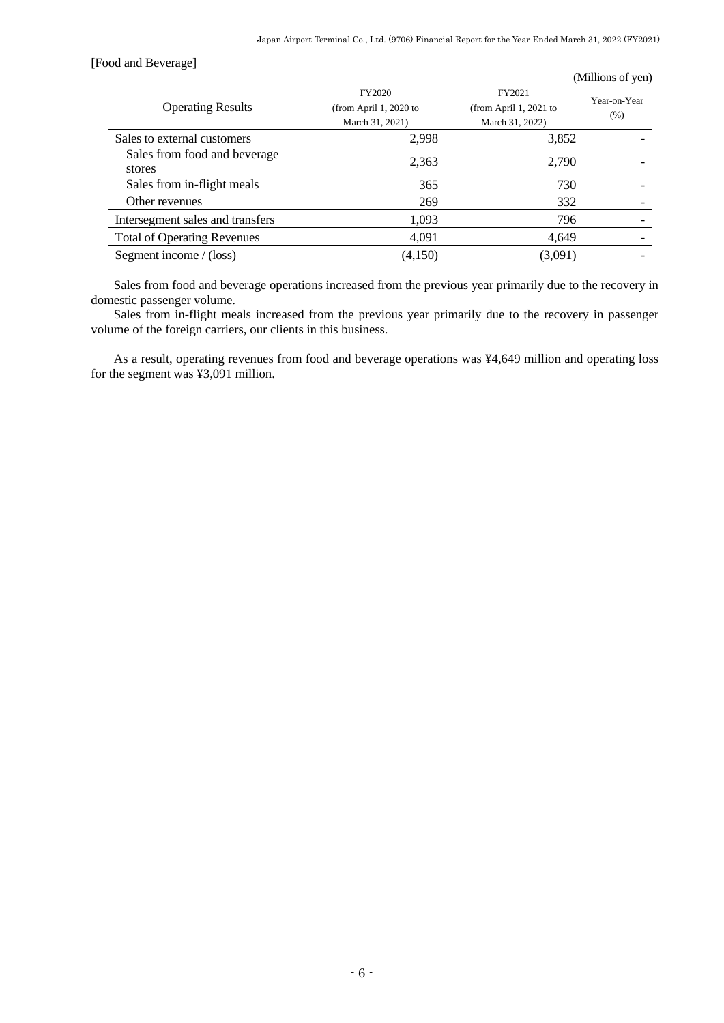[Food and Beverage]

|                                        |                                                     |                                                     | (Millions of yen)    |
|----------------------------------------|-----------------------------------------------------|-----------------------------------------------------|----------------------|
| <b>Operating Results</b>               | FY2020<br>(from April 1, 2020 to<br>March 31, 2021) | FY2021<br>(from April 1, 2021 to<br>March 31, 2022) | Year-on-Year<br>(% ) |
| Sales to external customers            | 2,998                                               | 3,852                                               |                      |
| Sales from food and beverage<br>stores | 2,363                                               | 2,790                                               |                      |
| Sales from in-flight meals             | 365                                                 | 730                                                 |                      |
| Other revenues                         | 269                                                 | 332                                                 |                      |
| Intersegment sales and transfers       | 1,093                                               | 796                                                 |                      |
| <b>Total of Operating Revenues</b>     | 4,091                                               | 4.649                                               |                      |
| Segment income $/$ (loss)              | (4,150)                                             | (3,091)                                             |                      |
|                                        |                                                     |                                                     |                      |

Sales from food and beverage operations increased from the previous year primarily due to the recovery in domestic passenger volume.

Sales from in-flight meals increased from the previous year primarily due to the recovery in passenger volume of the foreign carriers, our clients in this business.

As a result, operating revenues from food and beverage operations was ¥4,649 million and operating loss for the segment was ¥3,091 million.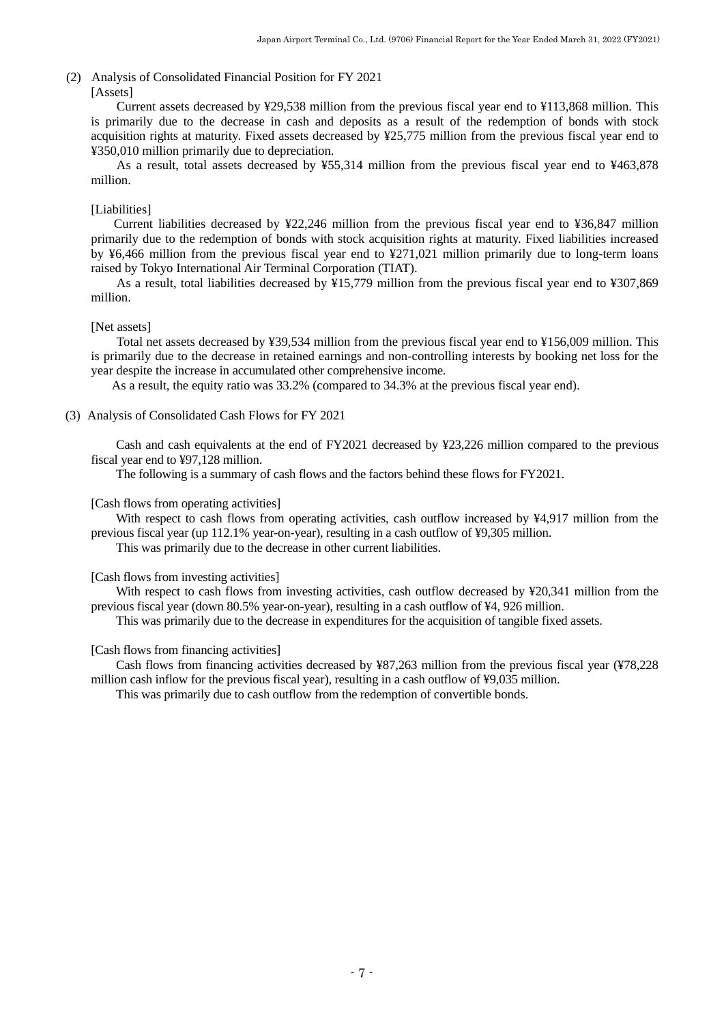# <span id="page-8-0"></span>(2) Analysis of Consolidated Financial Position for FY 2021

#### [Assets]

Current assets decreased by ¥29,538 million from the previous fiscal year end to ¥113,868 million. This is primarily due to the decrease in cash and deposits as a result of the redemption of bonds with stock acquisition rights at maturity. Fixed assets decreased by ¥25,775 million from the previous fiscal year end to ¥350,010 million primarily due to depreciation.

As a result, total assets decreased by ¥55,314 million from the previous fiscal year end to ¥463,878 million.

#### [Liabilities]

Current liabilities decreased by ¥22,246 million from the previous fiscal year end to ¥36,847 million primarily due to the redemption of bonds with stock acquisition rights at maturity. Fixed liabilities increased by ¥6,466 million from the previous fiscal year end to ¥271,021 million primarily due to long-term loans raised by Tokyo International Air Terminal Corporation (TIAT).

As a result, total liabilities decreased by ¥15,779 million from the previous fiscal year end to ¥307,869 million.

### [Net assets]

Total net assets decreased by ¥39,534 million from the previous fiscal year end to ¥156,009 million. This is primarily due to the decrease in retained earnings and non-controlling interests by booking net loss for the year despite the increase in accumulated other comprehensive income.

As a result, the equity ratio was 33.2% (compared to 34.3% at the previous fiscal year end).

### <span id="page-8-1"></span>(3) Analysis of Consolidated Cash Flows for FY 2021

Cash and cash equivalents at the end of FY2021 decreased by ¥23,226 million compared to the previous fiscal year end to ¥97,128 million.

The following is a summary of cash flows and the factors behind these flows for FY2021.

#### [Cash flows from operating activities]

With respect to cash flows from operating activities, cash outflow increased by ¥4,917 million from the previous fiscal year (up 112.1% year-on-year), resulting in a cash outflow of ¥9,305 million.

This was primarily due to the decrease in other current liabilities.

#### [Cash flows from investing activities]

With respect to cash flows from investing activities, cash outflow decreased by ¥20,341 million from the previous fiscal year (down 80.5% year-on-year), resulting in a cash outflow of ¥4, 926 million.

This was primarily due to the decrease in expenditures for the acquisition of tangible fixed assets.

#### [Cash flows from financing activities]

Cash flows from financing activities decreased by ¥87,263 million from the previous fiscal year (¥78,228 million cash inflow for the previous fiscal year), resulting in a cash outflow of ¥9,035 million.

This was primarily due to cash outflow from the redemption of convertible bonds.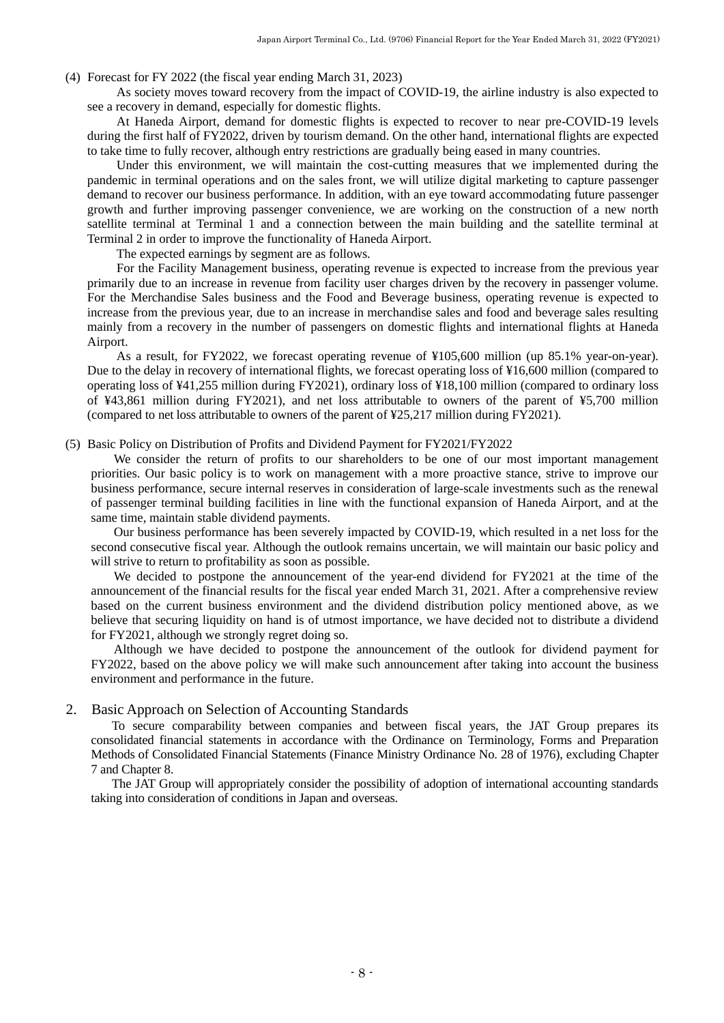<span id="page-9-0"></span>(4) Forecast for FY 2022 (the fiscal year ending March 31, 2023)

As society moves toward recovery from the impact of COVID-19, the airline industry is also expected to see a recovery in demand, especially for domestic flights.

At Haneda Airport, demand for domestic flights is expected to recover to near pre-COVID-19 levels during the first half of FY2022, driven by tourism demand. On the other hand, international flights are expected to take time to fully recover, although entry restrictions are gradually being eased in many countries.

Under this environment, we will maintain the cost-cutting measures that we implemented during the pandemic in terminal operations and on the sales front, we will utilize digital marketing to capture passenger demand to recover our business performance. In addition, with an eye toward accommodating future passenger growth and further improving passenger convenience, we are working on the construction of a new north satellite terminal at Terminal 1 and a connection between the main building and the satellite terminal at Terminal 2 in order to improve the functionality of Haneda Airport.

The expected earnings by segment are as follows.

For the Facility Management business, operating revenue is expected to increase from the previous year primarily due to an increase in revenue from facility user charges driven by the recovery in passenger volume. For the Merchandise Sales business and the Food and Beverage business, operating revenue is expected to increase from the previous year, due to an increase in merchandise sales and food and beverage sales resulting mainly from a recovery in the number of passengers on domestic flights and international flights at Haneda Airport.

As a result, for FY2022, we forecast operating revenue of ¥105,600 million (up 85.1% year-on-year). Due to the delay in recovery of international flights, we forecast operating loss of ¥16,600 million (compared to operating loss of ¥41,255 million during FY2021), ordinary loss of ¥18,100 million (compared to ordinary loss of ¥43,861 million during FY2021), and net loss attributable to owners of the parent of ¥5,700 million (compared to net loss attributable to owners of the parent of ¥25,217 million during FY2021).

<span id="page-9-1"></span>(5) Basic Policy on Distribution of Profits and Dividend Payment for FY2021/FY2022

We consider the return of profits to our shareholders to be one of our most important management priorities. Our basic policy is to work on management with a more proactive stance, strive to improve our business performance, secure internal reserves in consideration of large-scale investments such as the renewal of passenger terminal building facilities in line with the functional expansion of Haneda Airport, and at the same time, maintain stable dividend payments.

Our business performance has been severely impacted by COVID-19, which resulted in a net loss for the second consecutive fiscal year. Although the outlook remains uncertain, we will maintain our basic policy and will strive to return to profitability as soon as possible.

We decided to postpone the announcement of the year-end dividend for FY2021 at the time of the announcement of the financial results for the fiscal year ended March 31, 2021. After a comprehensive review based on the current business environment and the dividend distribution policy mentioned above, as we believe that securing liquidity on hand is of utmost importance, we have decided not to distribute a dividend for FY2021, although we strongly regret doing so.

Although we have decided to postpone the announcement of the outlook for dividend payment for FY2022, based on the above policy we will make such announcement after taking into account the business environment and performance in the future.

### <span id="page-9-2"></span>2. Basic Approach on Selection of Accounting Standards

To secure comparability between companies and between fiscal years, the JAT Group prepares its consolidated financial statements in accordance with the Ordinance on Terminology, Forms and Preparation Methods of Consolidated Financial Statements (Finance Ministry Ordinance No. 28 of 1976), excluding Chapter 7 and Chapter 8.

The JAT Group will appropriately consider the possibility of adoption of international accounting standards taking into consideration of conditions in Japan and overseas.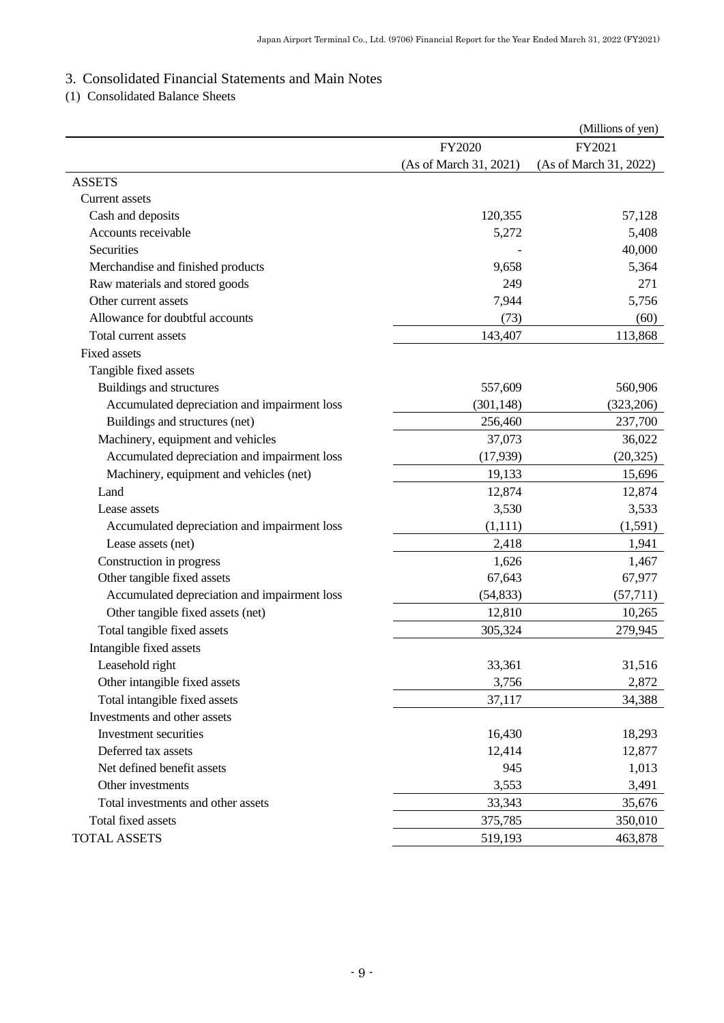# <span id="page-10-0"></span>3. Consolidated Financial Statements and Main Notes

<span id="page-10-1"></span>(1) Consolidated Balance Sheets

|                                              |                        | (Millions of yen)      |
|----------------------------------------------|------------------------|------------------------|
|                                              | FY2020                 | FY2021                 |
|                                              | (As of March 31, 2021) | (As of March 31, 2022) |
| <b>ASSETS</b>                                |                        |                        |
| Current assets                               |                        |                        |
| Cash and deposits                            | 120,355                | 57,128                 |
| Accounts receivable                          | 5,272                  | 5,408                  |
| Securities                                   |                        | 40,000                 |
| Merchandise and finished products            | 9,658                  | 5,364                  |
| Raw materials and stored goods               | 249                    | 271                    |
| Other current assets                         | 7,944                  | 5,756                  |
| Allowance for doubtful accounts              | (73)                   | (60)                   |
| Total current assets                         | 143,407                | 113,868                |
| <b>Fixed assets</b>                          |                        |                        |
| Tangible fixed assets                        |                        |                        |
| Buildings and structures                     | 557,609                | 560,906                |
| Accumulated depreciation and impairment loss | (301, 148)             | (323, 206)             |
| Buildings and structures (net)               | 256,460                | 237,700                |
| Machinery, equipment and vehicles            | 37,073                 | 36,022                 |
| Accumulated depreciation and impairment loss | (17,939)               | (20, 325)              |
| Machinery, equipment and vehicles (net)      | 19,133                 | 15,696                 |
| Land                                         | 12,874                 | 12,874                 |
| Lease assets                                 | 3,530                  | 3,533                  |
| Accumulated depreciation and impairment loss | (1, 111)               | (1, 591)               |
| Lease assets (net)                           | 2,418                  | 1,941                  |
| Construction in progress                     | 1,626                  | 1,467                  |
| Other tangible fixed assets                  | 67,643                 | 67,977                 |
| Accumulated depreciation and impairment loss | (54, 833)              | (57, 711)              |
| Other tangible fixed assets (net)            | 12,810                 | 10,265                 |
| Total tangible fixed assets                  | 305,324                | 279,945                |
| Intangible fixed assets                      |                        |                        |
| Leasehold right                              | 33,361                 | 31,516                 |
| Other intangible fixed assets                | 3,756                  | 2,872                  |
| Total intangible fixed assets                | 37,117                 | 34,388                 |
| Investments and other assets                 |                        |                        |
| Investment securities                        | 16,430                 | 18,293                 |
| Deferred tax assets                          | 12,414                 | 12,877                 |
| Net defined benefit assets                   | 945                    | 1,013                  |
| Other investments                            | 3,553                  | 3,491                  |
| Total investments and other assets           | 33,343                 | 35,676                 |
| Total fixed assets                           | 375,785                | 350,010                |
| <b>TOTAL ASSETS</b>                          | 519,193                | 463,878                |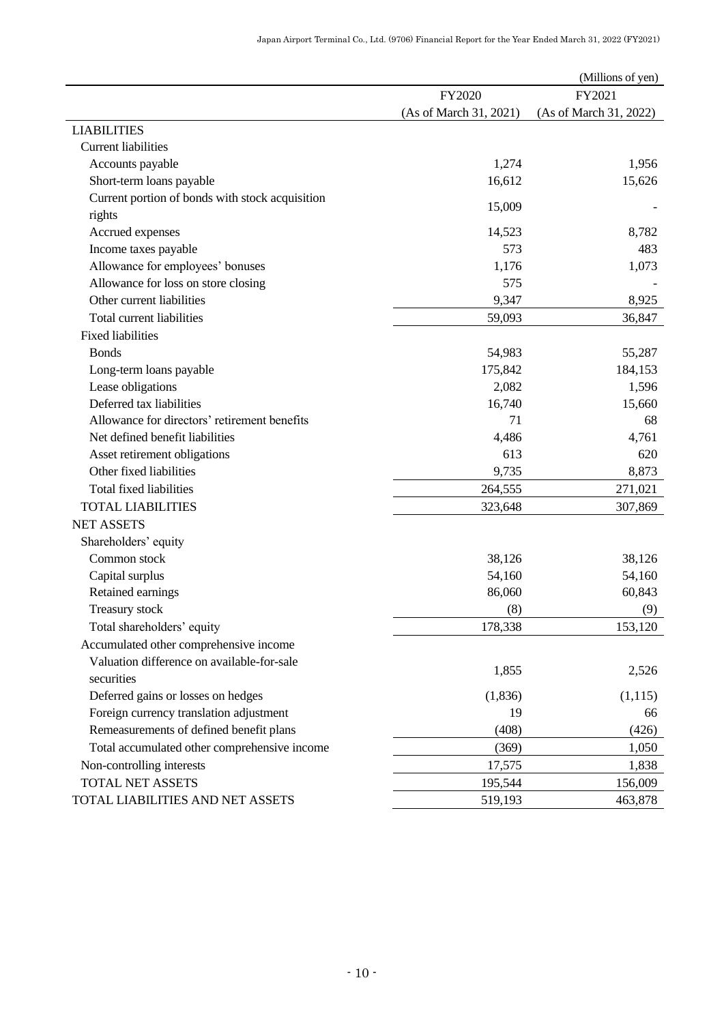|                                                 |                        | (Millions of yen)      |
|-------------------------------------------------|------------------------|------------------------|
|                                                 | FY2020                 | FY2021                 |
|                                                 | (As of March 31, 2021) | (As of March 31, 2022) |
| <b>LIABILITIES</b>                              |                        |                        |
| <b>Current liabilities</b>                      |                        |                        |
| Accounts payable                                | 1,274                  | 1,956                  |
| Short-term loans payable                        | 16,612                 | 15,626                 |
| Current portion of bonds with stock acquisition | 15,009                 |                        |
| rights                                          |                        |                        |
| Accrued expenses                                | 14,523                 | 8,782                  |
| Income taxes payable                            | 573                    | 483                    |
| Allowance for employees' bonuses                | 1,176                  | 1,073                  |
| Allowance for loss on store closing             | 575                    |                        |
| Other current liabilities                       | 9,347                  | 8,925                  |
| Total current liabilities                       | 59,093                 | 36,847                 |
| <b>Fixed liabilities</b>                        |                        |                        |
| <b>Bonds</b>                                    | 54,983                 | 55,287                 |
| Long-term loans payable                         | 175,842                | 184,153                |
| Lease obligations                               | 2,082                  | 1,596                  |
| Deferred tax liabilities                        | 16,740                 | 15,660                 |
| Allowance for directors' retirement benefits    | 71                     | 68                     |
| Net defined benefit liabilities                 | 4,486                  | 4,761                  |
| Asset retirement obligations                    | 613                    | 620                    |
| Other fixed liabilities                         | 9,735                  | 8,873                  |
| Total fixed liabilities                         | 264,555                | 271,021                |
| <b>TOTAL LIABILITIES</b>                        | 323,648                | 307,869                |
| <b>NET ASSETS</b>                               |                        |                        |
| Shareholders' equity                            |                        |                        |
| Common stock                                    | 38,126                 | 38,126                 |
| Capital surplus                                 | 54,160                 | 54,160                 |
| Retained earnings                               | 86,060                 | 60,843                 |
| Treasury stock                                  | (8)                    | (9)                    |
| Total shareholders' equity                      | 178,338                | 153,120                |
| Accumulated other comprehensive income          |                        |                        |
| Valuation difference on available-for-sale      | 1,855                  | 2,526                  |
| securities                                      |                        |                        |
| Deferred gains or losses on hedges              | (1,836)                | (1,115)                |
| Foreign currency translation adjustment         | 19                     | 66                     |
| Remeasurements of defined benefit plans         | (408)                  | (426)                  |
| Total accumulated other comprehensive income    | (369)                  | 1,050                  |
| Non-controlling interests                       | 17,575                 | 1,838                  |
| <b>TOTAL NET ASSETS</b>                         | 195,544                | 156,009                |
| TOTAL LIABILITIES AND NET ASSETS                | 519,193                | 463,878                |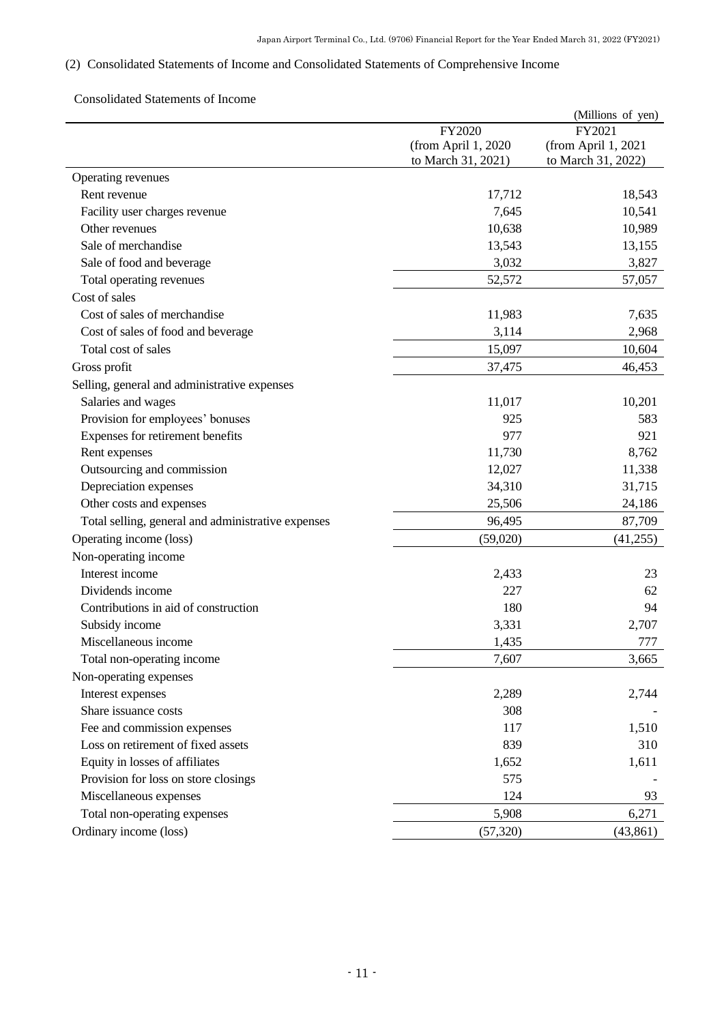# <span id="page-12-0"></span>(2) Consolidated Statements of Income and Consolidated Statements of Comprehensive Income

### <span id="page-12-1"></span>Consolidated Statements of Income

|                                                    |                     | (Millions of yen)   |
|----------------------------------------------------|---------------------|---------------------|
|                                                    | FY2020              | FY2021              |
|                                                    | (from April 1, 2020 | (from April 1, 2021 |
|                                                    | to March 31, 2021)  | to March 31, 2022)  |
| Operating revenues                                 |                     |                     |
| Rent revenue                                       | 17,712              | 18,543              |
| Facility user charges revenue                      | 7,645               | 10,541              |
| Other revenues                                     | 10,638              | 10,989              |
| Sale of merchandise                                | 13,543              | 13,155              |
| Sale of food and beverage                          | 3,032               | 3,827               |
| Total operating revenues                           | 52,572              | 57,057              |
| Cost of sales                                      |                     |                     |
| Cost of sales of merchandise                       | 11,983              | 7,635               |
| Cost of sales of food and beverage                 | 3,114               | 2,968               |
| Total cost of sales                                | 15,097              | 10,604              |
| Gross profit                                       | 37,475              | 46,453              |
| Selling, general and administrative expenses       |                     |                     |
| Salaries and wages                                 | 11,017              | 10,201              |
| Provision for employees' bonuses                   | 925                 | 583                 |
| Expenses for retirement benefits                   | 977                 | 921                 |
| Rent expenses                                      | 11,730              | 8,762               |
| Outsourcing and commission                         | 12,027              | 11,338              |
| Depreciation expenses                              | 34,310              | 31,715              |
| Other costs and expenses                           | 25,506              | 24,186              |
| Total selling, general and administrative expenses | 96,495              | 87,709              |
| Operating income (loss)                            | (59,020)            | (41,255)            |
| Non-operating income                               |                     |                     |
| Interest income                                    | 2,433               | 23                  |
| Dividends income                                   | 227                 | 62                  |
| Contributions in aid of construction               | 180                 | 94                  |
| Subsidy income                                     | 3,331               | 2,707               |
| Miscellaneous income                               | 1,435               | 777                 |
| Total non-operating income                         | 7,607               | 3,665               |
| Non-operating expenses                             |                     |                     |
| Interest expenses                                  | 2,289               | 2,744               |
| Share issuance costs                               | 308                 |                     |
| Fee and commission expenses                        | 117                 | 1,510               |
| Loss on retirement of fixed assets                 | 839                 | 310                 |
| Equity in losses of affiliates                     | 1,652               | 1,611               |
| Provision for loss on store closings               | 575                 |                     |
| Miscellaneous expenses                             | 124                 | 93                  |
| Total non-operating expenses                       | 5,908               | 6,271               |
| Ordinary income (loss)                             | (57, 320)           | (43, 861)           |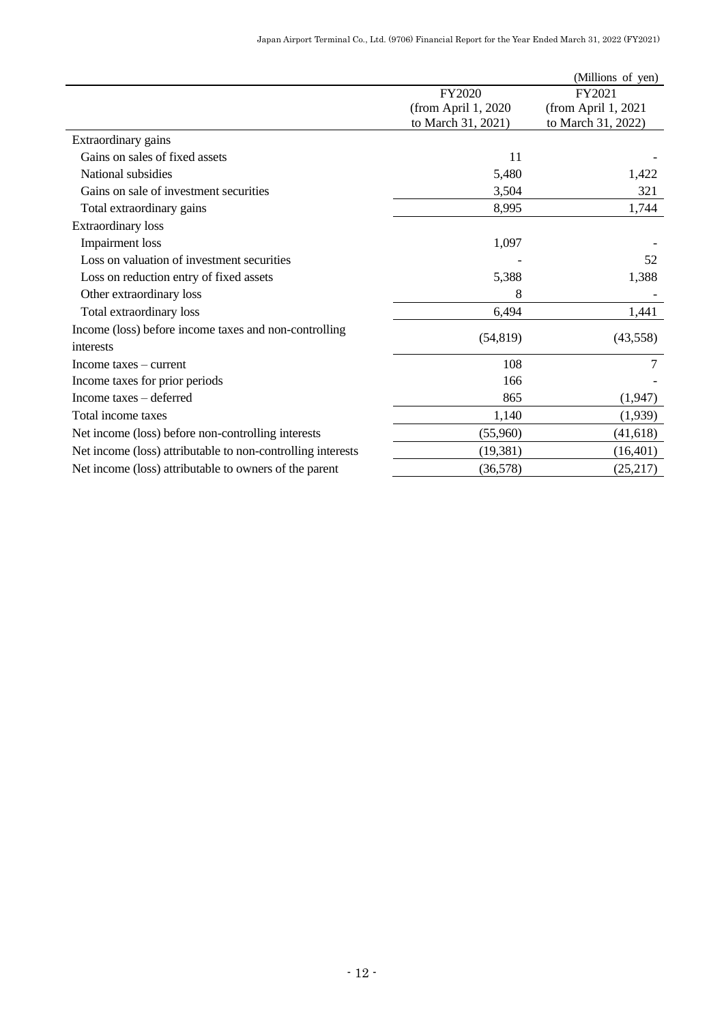|                                                             |                      | (Millions of yen)     |
|-------------------------------------------------------------|----------------------|-----------------------|
|                                                             | FY2020               | FY2021                |
|                                                             | (from April 1, 2020) | (from April $1, 2021$ |
|                                                             | to March 31, 2021)   | to March 31, 2022)    |
| Extraordinary gains                                         |                      |                       |
| Gains on sales of fixed assets                              | 11                   |                       |
| National subsidies                                          | 5,480                | 1,422                 |
| Gains on sale of investment securities                      | 3,504                | 321                   |
| Total extraordinary gains                                   | 8,995                | 1,744                 |
| <b>Extraordinary</b> loss                                   |                      |                       |
| <b>Impairment</b> loss                                      | 1,097                |                       |
| Loss on valuation of investment securities                  |                      | 52                    |
| Loss on reduction entry of fixed assets                     | 5,388                | 1,388                 |
| Other extraordinary loss                                    | 8                    |                       |
| Total extraordinary loss                                    | 6,494                | 1,441                 |
| Income (loss) before income taxes and non-controlling       |                      |                       |
| interests                                                   | (54, 819)            | (43,558)              |
| Income taxes – current                                      | 108                  | 7                     |
| Income taxes for prior periods                              | 166                  |                       |
| Income taxes – deferred                                     | 865                  | (1,947)               |
| Total income taxes                                          | 1,140                | (1,939)               |
| Net income (loss) before non-controlling interests          | (55,960)             | (41, 618)             |
| Net income (loss) attributable to non-controlling interests | (19,381)             | (16, 401)             |
| Net income (loss) attributable to owners of the parent      | (36,578)             | (25,217)              |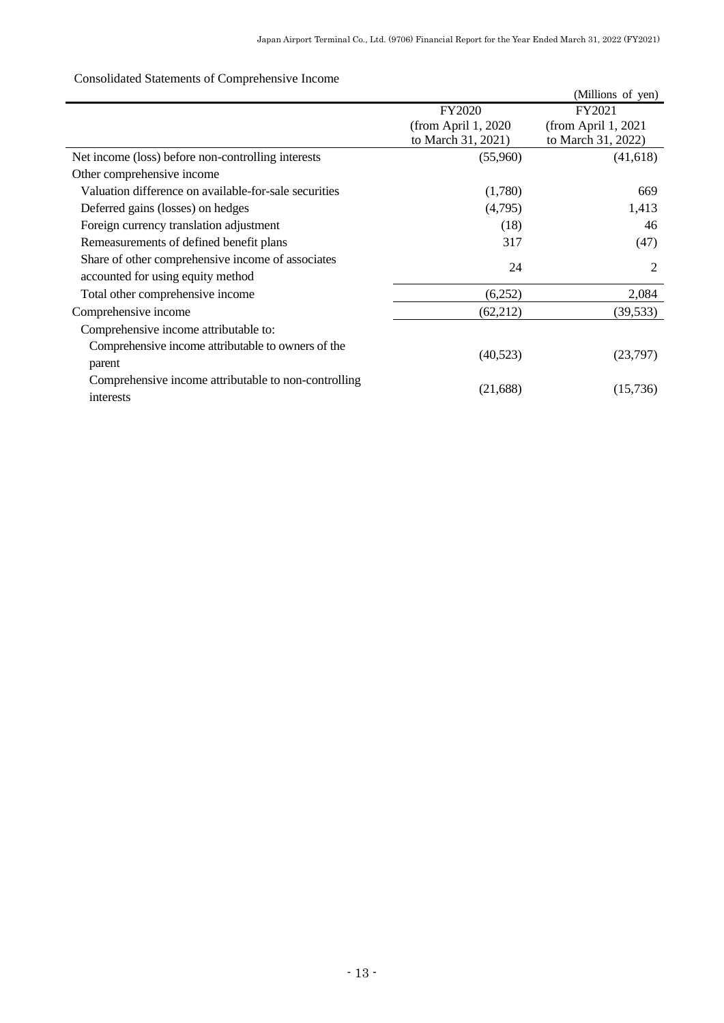# <span id="page-14-0"></span>Consolidated Statements of Comprehensive Income

|                                                       |                      | (Millions of yen)   |
|-------------------------------------------------------|----------------------|---------------------|
|                                                       | <b>FY2020</b>        | FY2021              |
|                                                       | (from April $1,2020$ | (from April 1, 2021 |
|                                                       | to March 31, 2021)   | to March 31, 2022)  |
| Net income (loss) before non-controlling interests    | (55,960)             | (41, 618)           |
| Other comprehensive income                            |                      |                     |
| Valuation difference on available-for-sale securities | (1,780)              | 669                 |
| Deferred gains (losses) on hedges                     | (4,795)              | 1,413               |
| Foreign currency translation adjustment               | (18)                 | 46                  |
| Remeasurements of defined benefit plans               | 317                  | (47)                |
| Share of other comprehensive income of associates     |                      |                     |
| accounted for using equity method                     | 24                   | $\overline{2}$      |
| Total other comprehensive income                      | (6,252)              | 2,084               |
| Comprehensive income                                  | (62,212)             | (39, 533)           |
| Comprehensive income attributable to:                 |                      |                     |
| Comprehensive income attributable to owners of the    |                      |                     |
| parent                                                | (40,523)             | (23,797)            |
| Comprehensive income attributable to non-controlling  |                      |                     |
| interests                                             | (21, 688)            | (15,736)            |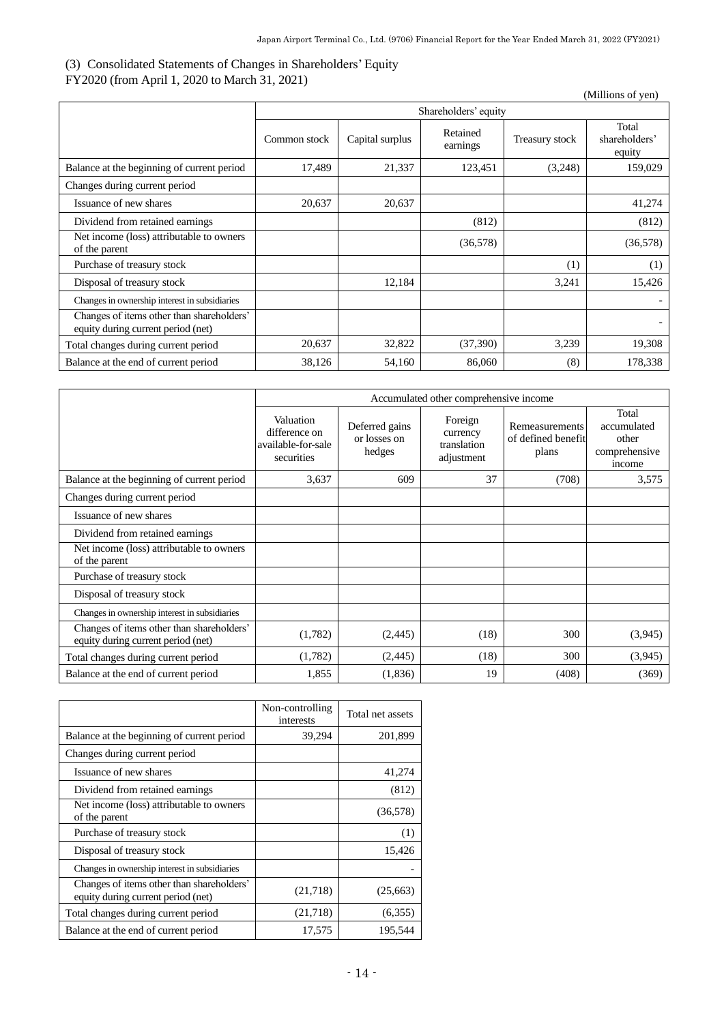# <span id="page-15-0"></span>(3) Consolidated Statements of Changes in Shareholders' Equity

FY2020 (from April 1, 2020 to March 31, 2021)

(Millions of yen)

|                                                                                 | Shareholders' equity |                 |                      |                |                                  |
|---------------------------------------------------------------------------------|----------------------|-----------------|----------------------|----------------|----------------------------------|
|                                                                                 | Common stock         | Capital surplus | Retained<br>earnings | Treasury stock | Total<br>shareholders'<br>equity |
| Balance at the beginning of current period                                      | 17,489               | 21,337          | 123,451              | (3,248)        | 159,029                          |
| Changes during current period                                                   |                      |                 |                      |                |                                  |
| Issuance of new shares                                                          | 20,637               | 20,637          |                      |                | 41,274                           |
| Dividend from retained earnings                                                 |                      |                 | (812)                |                | (812)                            |
| Net income (loss) attributable to owners<br>of the parent                       |                      |                 | (36,578)             |                | (36,578)                         |
| Purchase of treasury stock                                                      |                      |                 |                      | (1)            | (1)                              |
| Disposal of treasury stock                                                      |                      | 12,184          |                      | 3,241          | 15,426                           |
| Changes in ownership interest in subsidiaries                                   |                      |                 |                      |                |                                  |
| Changes of items other than shareholders'<br>equity during current period (net) |                      |                 |                      |                |                                  |
| Total changes during current period                                             | 20,637               | 32,822          | (37,390)             | 3,239          | 19,308                           |
| Balance at the end of current period                                            | 38,126               | 54,160          | 86,060               | (8)            | 178,338                          |

|                                                                                 | Accumulated other comprehensive income                         |                                          |                                                  |                                               |                                                          |
|---------------------------------------------------------------------------------|----------------------------------------------------------------|------------------------------------------|--------------------------------------------------|-----------------------------------------------|----------------------------------------------------------|
|                                                                                 | Valuation<br>difference on<br>available-for-sale<br>securities | Deferred gains<br>or losses on<br>hedges | Foreign<br>currency<br>translation<br>adjustment | Remeasurements<br>of defined benefit<br>plans | Total<br>accumulated<br>other<br>comprehensive<br>income |
| Balance at the beginning of current period                                      | 3,637                                                          | 609                                      | 37                                               | (708)                                         | 3,575                                                    |
| Changes during current period                                                   |                                                                |                                          |                                                  |                                               |                                                          |
| Issuance of new shares                                                          |                                                                |                                          |                                                  |                                               |                                                          |
| Dividend from retained earnings                                                 |                                                                |                                          |                                                  |                                               |                                                          |
| Net income (loss) attributable to owners<br>of the parent                       |                                                                |                                          |                                                  |                                               |                                                          |
| Purchase of treasury stock                                                      |                                                                |                                          |                                                  |                                               |                                                          |
| Disposal of treasury stock                                                      |                                                                |                                          |                                                  |                                               |                                                          |
| Changes in ownership interest in subsidiaries                                   |                                                                |                                          |                                                  |                                               |                                                          |
| Changes of items other than shareholders'<br>equity during current period (net) | (1,782)                                                        | (2,445)                                  | (18)                                             | 300                                           | (3,945)                                                  |
| Total changes during current period                                             | (1,782)                                                        | (2,445)                                  | (18)                                             | 300                                           | (3,945)                                                  |
| Balance at the end of current period                                            | 1,855                                                          | (1,836)                                  | 19                                               | (408)                                         | (369)                                                    |

|                                                                                 | Non-controlling<br>interests | Total net assets |
|---------------------------------------------------------------------------------|------------------------------|------------------|
| Balance at the beginning of current period                                      | 39,294                       | 201,899          |
| Changes during current period                                                   |                              |                  |
| Issuance of new shares                                                          |                              | 41,274           |
| Dividend from retained earnings                                                 |                              | (812)            |
| Net income (loss) attributable to owners<br>of the parent                       |                              | (36,578)         |
| Purchase of treasury stock                                                      |                              | (1)              |
| Disposal of treasury stock                                                      |                              | 15,426           |
| Changes in ownership interest in subsidiaries                                   |                              |                  |
| Changes of items other than shareholders'<br>equity during current period (net) | (21,718)                     | (25,663)         |
| Total changes during current period                                             | (21,718)                     | (6,355)          |
| Balance at the end of current period                                            | 17,575                       | 195,544          |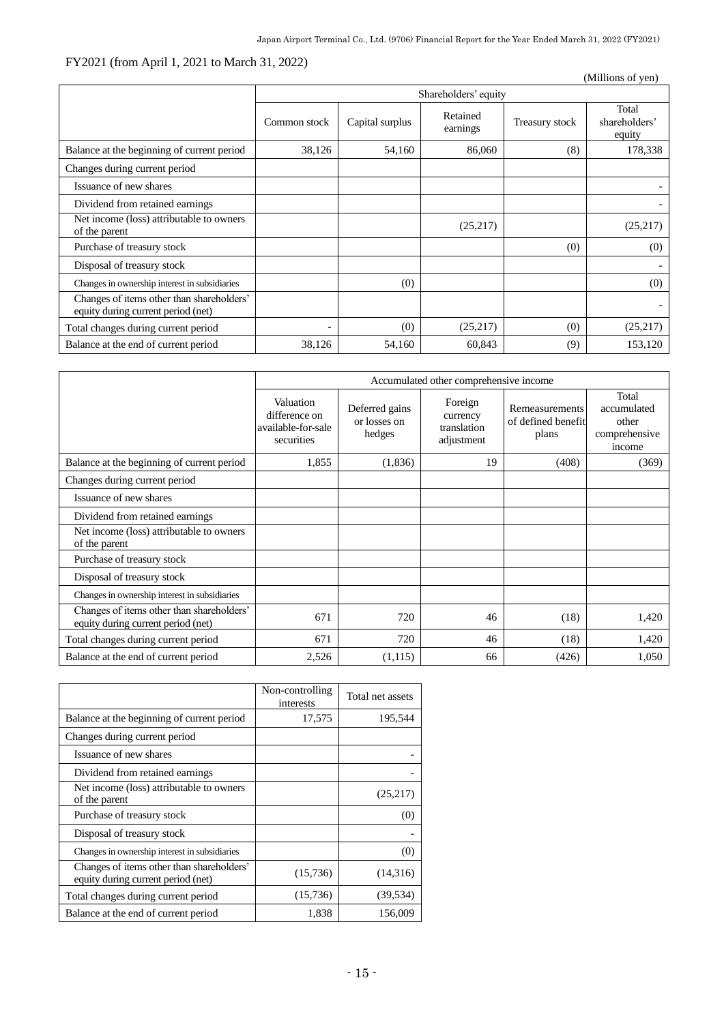# FY2021 (from April 1, 2021 to March 31, 2022)

| $1 + 20 = 1$ (Hom Tipm 1, 2021 to March 31, 2022)<br>(Millions of yen)          |              |                      |                      |                |                                  |
|---------------------------------------------------------------------------------|--------------|----------------------|----------------------|----------------|----------------------------------|
|                                                                                 |              | Shareholders' equity |                      |                |                                  |
|                                                                                 | Common stock | Capital surplus      | Retained<br>earnings | Treasury stock | Total<br>shareholders'<br>equity |
| Balance at the beginning of current period                                      | 38,126       | 54,160               | 86,060               | (8)            | 178,338                          |
| Changes during current period                                                   |              |                      |                      |                |                                  |
| Issuance of new shares                                                          |              |                      |                      |                |                                  |
| Dividend from retained earnings                                                 |              |                      |                      |                |                                  |
| Net income (loss) attributable to owners<br>of the parent                       |              |                      | (25,217)             |                | (25,217)                         |
| Purchase of treasury stock                                                      |              |                      |                      | (0)            | (0)                              |
| Disposal of treasury stock                                                      |              |                      |                      |                |                                  |
| Changes in ownership interest in subsidiaries                                   |              | (0)                  |                      |                | (0)                              |
| Changes of items other than shareholders'<br>equity during current period (net) |              |                      |                      |                |                                  |
| Total changes during current period                                             |              | (0)                  | (25,217)             | (0)            | (25,217)                         |
| Balance at the end of current period                                            | 38,126       | 54,160               | 60,843               | (9)            | 153,120                          |

|                                                                                 | Accumulated other comprehensive income                         |                                          |                                                  |                                                      |                                                          |
|---------------------------------------------------------------------------------|----------------------------------------------------------------|------------------------------------------|--------------------------------------------------|------------------------------------------------------|----------------------------------------------------------|
|                                                                                 | Valuation<br>difference on<br>available-for-sale<br>securities | Deferred gains<br>or losses on<br>hedges | Foreign<br>currency<br>translation<br>adjustment | <b>Remeasurements</b><br>of defined benefit<br>plans | Total<br>accumulated<br>other<br>comprehensive<br>income |
| Balance at the beginning of current period                                      | 1,855                                                          | (1,836)                                  | 19                                               | (408)                                                | (369)                                                    |
| Changes during current period                                                   |                                                                |                                          |                                                  |                                                      |                                                          |
| Issuance of new shares                                                          |                                                                |                                          |                                                  |                                                      |                                                          |
| Dividend from retained earnings                                                 |                                                                |                                          |                                                  |                                                      |                                                          |
| Net income (loss) attributable to owners<br>of the parent                       |                                                                |                                          |                                                  |                                                      |                                                          |
| Purchase of treasury stock                                                      |                                                                |                                          |                                                  |                                                      |                                                          |
| Disposal of treasury stock                                                      |                                                                |                                          |                                                  |                                                      |                                                          |
| Changes in ownership interest in subsidiaries                                   |                                                                |                                          |                                                  |                                                      |                                                          |
| Changes of items other than shareholders'<br>equity during current period (net) | 671                                                            | 720                                      | 46                                               | (18)                                                 | 1,420                                                    |
| Total changes during current period                                             | 671                                                            | 720                                      | 46                                               | (18)                                                 | 1,420                                                    |
| Balance at the end of current period                                            | 2,526                                                          | (1,115)                                  | 66                                               | (426)                                                | 1,050                                                    |

|                                                                                 | Non-controlling<br>interests | Total net assets |
|---------------------------------------------------------------------------------|------------------------------|------------------|
| Balance at the beginning of current period                                      | 17,575                       | 195,544          |
| Changes during current period                                                   |                              |                  |
| Issuance of new shares                                                          |                              |                  |
| Dividend from retained earnings                                                 |                              |                  |
| Net income (loss) attributable to owners<br>of the parent                       |                              | (25,217)         |
| Purchase of treasury stock                                                      |                              | (0)              |
| Disposal of treasury stock                                                      |                              |                  |
| Changes in ownership interest in subsidiaries                                   |                              | (0)              |
| Changes of items other than shareholders'<br>equity during current period (net) | (15,736)                     | (14,316)         |
| Total changes during current period                                             | (15,736)                     | (39, 534)        |
| Balance at the end of current period                                            | 1,838                        | 156,009          |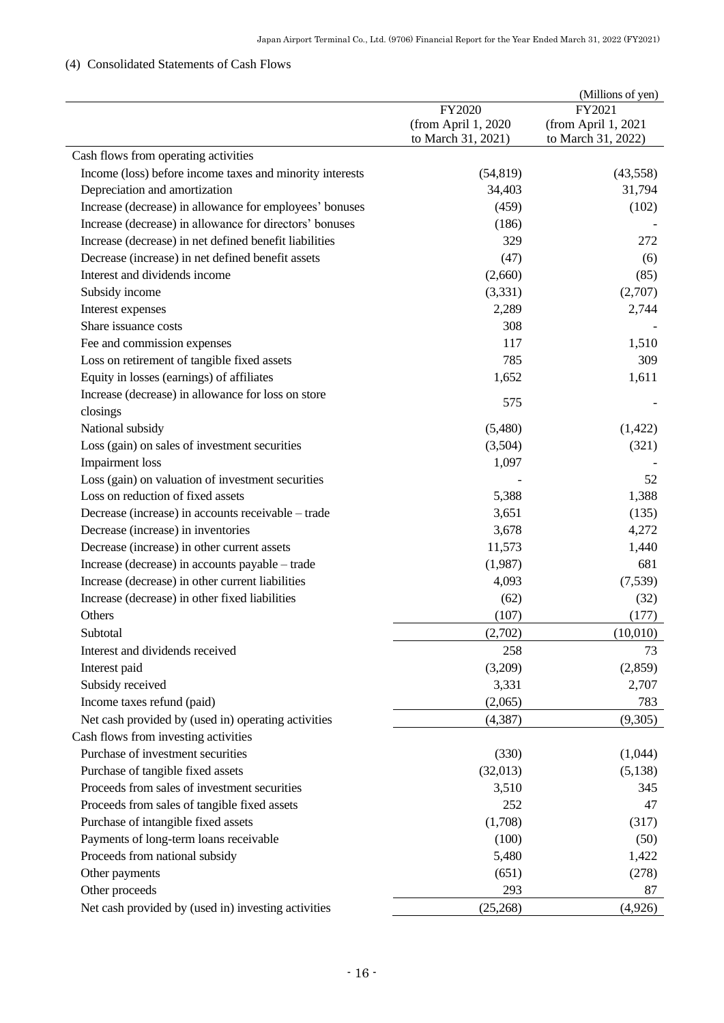# <span id="page-17-0"></span>(4) Consolidated Statements of Cash Flows

|                                                          |                     | (Millions of yen)   |
|----------------------------------------------------------|---------------------|---------------------|
|                                                          | FY2020              | FY2021              |
|                                                          | (from April 1, 2020 | (from April 1, 2021 |
|                                                          | to March 31, 2021)  | to March 31, 2022)  |
| Cash flows from operating activities                     |                     |                     |
| Income (loss) before income taxes and minority interests | (54, 819)           | (43,558)            |
| Depreciation and amortization                            | 34,403              | 31,794              |
| Increase (decrease) in allowance for employees' bonuses  | (459)               | (102)               |
| Increase (decrease) in allowance for directors' bonuses  | (186)               |                     |
| Increase (decrease) in net defined benefit liabilities   | 329                 | 272                 |
| Decrease (increase) in net defined benefit assets        | (47)                | (6)                 |
| Interest and dividends income                            | (2,660)             | (85)                |
| Subsidy income                                           | (3,331)             | (2,707)             |
| Interest expenses                                        | 2,289               | 2,744               |
| Share issuance costs                                     | 308                 |                     |
| Fee and commission expenses                              | 117                 | 1,510               |
| Loss on retirement of tangible fixed assets              | 785                 | 309                 |
| Equity in losses (earnings) of affiliates                | 1,652               | 1,611               |
| Increase (decrease) in allowance for loss on store       |                     |                     |
| closings                                                 | 575                 |                     |
| National subsidy                                         | (5,480)             | (1,422)             |
| Loss (gain) on sales of investment securities            | (3,504)             | (321)               |
| <b>Impairment</b> loss                                   | 1,097               |                     |
| Loss (gain) on valuation of investment securities        |                     | 52                  |
| Loss on reduction of fixed assets                        | 5,388               | 1,388               |
| Decrease (increase) in accounts receivable – trade       | 3,651               | (135)               |
|                                                          |                     |                     |
| Decrease (increase) in inventories                       | 3,678               | 4,272               |
| Decrease (increase) in other current assets              | 11,573              | 1,440               |
| Increase (decrease) in accounts payable – trade          | (1,987)             | 681                 |
| Increase (decrease) in other current liabilities         | 4,093               | (7,539)             |
| Increase (decrease) in other fixed liabilities           | (62)                | (32)                |
| Others                                                   | (107)               | (177)               |
| Subtotal                                                 | (2,702)             | (10,010)            |
| Interest and dividends received                          | 258                 | 73                  |
| Interest paid                                            | (3,209)             | (2,859)             |
| Subsidy received                                         | 3,331               | 2,707               |
| Income taxes refund (paid)                               | (2,065)             | 783                 |
| Net cash provided by (used in) operating activities      | (4, 387)            | (9,305)             |
| Cash flows from investing activities                     |                     |                     |
| Purchase of investment securities                        | (330)               | (1,044)             |
| Purchase of tangible fixed assets                        | (32,013)            | (5,138)             |
| Proceeds from sales of investment securities             | 3,510               | 345                 |
| Proceeds from sales of tangible fixed assets             | 252                 | 47                  |
| Purchase of intangible fixed assets                      | (1,708)             | (317)               |
| Payments of long-term loans receivable                   | (100)               | (50)                |
| Proceeds from national subsidy                           | 5,480               | 1,422               |
| Other payments                                           | (651)               | (278)               |
| Other proceeds                                           | 293                 | 87                  |
|                                                          |                     |                     |
| Net cash provided by (used in) investing activities      | (25,268)            | (4,926)             |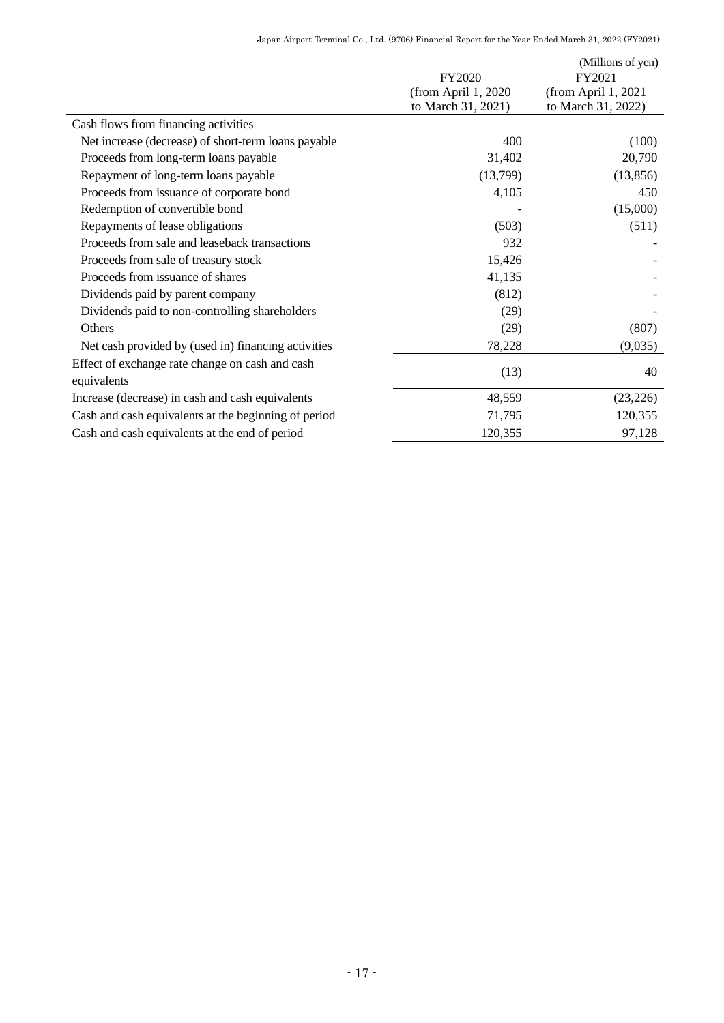|                                                      |                     | (Millions of yen)   |
|------------------------------------------------------|---------------------|---------------------|
|                                                      | FY2020              | FY2021              |
|                                                      | (from April 1, 2020 | (from April 1, 2021 |
|                                                      | to March 31, 2021)  | to March 31, 2022)  |
| Cash flows from financing activities                 |                     |                     |
| Net increase (decrease) of short-term loans payable  | 400                 | (100)               |
| Proceeds from long-term loans payable                | 31,402              | 20,790              |
| Repayment of long-term loans payable                 | (13,799)            | (13, 856)           |
| Proceeds from issuance of corporate bond             | 4,105               | 450                 |
| Redemption of convertible bond                       |                     | (15,000)            |
| Repayments of lease obligations                      | (503)               | (511)               |
| Proceeds from sale and leaseback transactions        | 932                 |                     |
| Proceeds from sale of treasury stock                 | 15,426              |                     |
| Proceeds from issuance of shares                     | 41,135              |                     |
| Dividends paid by parent company                     | (812)               |                     |
| Dividends paid to non-controlling shareholders       | (29)                |                     |
| Others                                               | (29)                | (807)               |
| Net cash provided by (used in) financing activities  | 78,228              | (9,035)             |
| Effect of exchange rate change on cash and cash      |                     |                     |
| equivalents                                          | (13)                | 40                  |
| Increase (decrease) in cash and cash equivalents     | 48,559              | (23, 226)           |
| Cash and cash equivalents at the beginning of period | 71,795              | 120,355             |
| Cash and cash equivalents at the end of period       | 120,355             | 97,128              |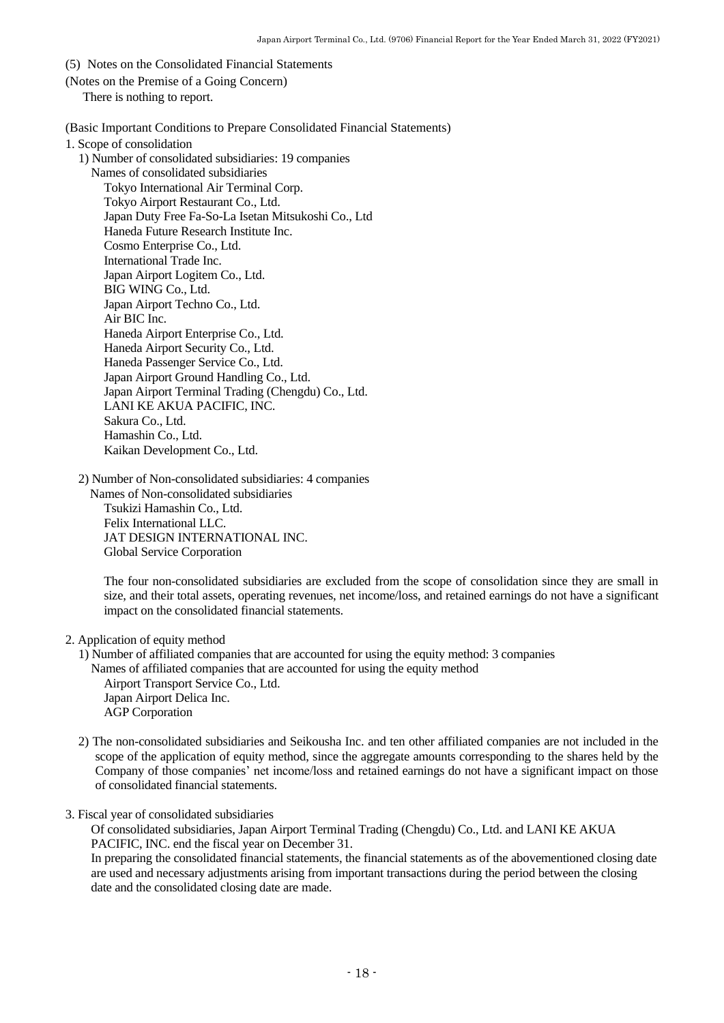- <span id="page-19-0"></span>(5) Notes on the Consolidated Financial Statements
- <span id="page-19-1"></span>(Notes on the Premise of a Going Concern) There is nothing to report.

<span id="page-19-2"></span>(Basic Important Conditions to Prepare Consolidated Financial Statements)

1. Scope of consolidation

1) Number of consolidated subsidiaries: 19 companies

Names of consolidated subsidiaries Tokyo International Air Terminal Corp. Tokyo Airport Restaurant Co., Ltd. Japan Duty Free Fa-So-La Isetan Mitsukoshi Co., Ltd Haneda Future Research Institute Inc. Cosmo Enterprise Co., Ltd. International Trade Inc. Japan Airport Logitem Co., Ltd. BIG WING Co., Ltd. Japan Airport Techno Co., Ltd. Air BIC Inc. Haneda Airport Enterprise Co., Ltd. Haneda Airport Security Co., Ltd. Haneda Passenger Service Co., Ltd. Japan Airport Ground Handling Co., Ltd. Japan Airport Terminal Trading (Chengdu) Co., Ltd. LANI KE AKUA PACIFIC, INC. Sakura Co., Ltd. Hamashin Co., Ltd. Kaikan Development Co., Ltd.

2) Number of Non-consolidated subsidiaries: 4 companies

 Names of Non-consolidated subsidiaries Tsukizi Hamashin Co., Ltd. Felix International LLC. JAT DESIGN INTERNATIONAL INC. Global Service Corporation

The four non-consolidated subsidiaries are excluded from the scope of consolidation since they are small in size, and their total assets, operating revenues, net income/loss, and retained earnings do not have a significant impact on the consolidated financial statements.

2. Application of equity method

1) Number of affiliated companies that are accounted for using the equity method: 3 companies Names of affiliated companies that are accounted for using the equity method Airport Transport Service Co., Ltd. Japan Airport Delica Inc. AGP Corporation

2) The non-consolidated subsidiaries and Seikousha Inc. and ten other affiliated companies are not included in the scope of the application of equity method, since the aggregate amounts corresponding to the shares held by the Company of those companies' net income/loss and retained earnings do not have a significant impact on those of consolidated financial statements.

3. Fiscal year of consolidated subsidiaries

Of consolidated subsidiaries, Japan Airport Terminal Trading (Chengdu) Co., Ltd. and LANI KE AKUA PACIFIC, INC. end the fiscal year on December 31.

In preparing the consolidated financial statements, the financial statements as of the abovementioned closing date are used and necessary adjustments arising from important transactions during the period between the closing date and the consolidated closing date are made.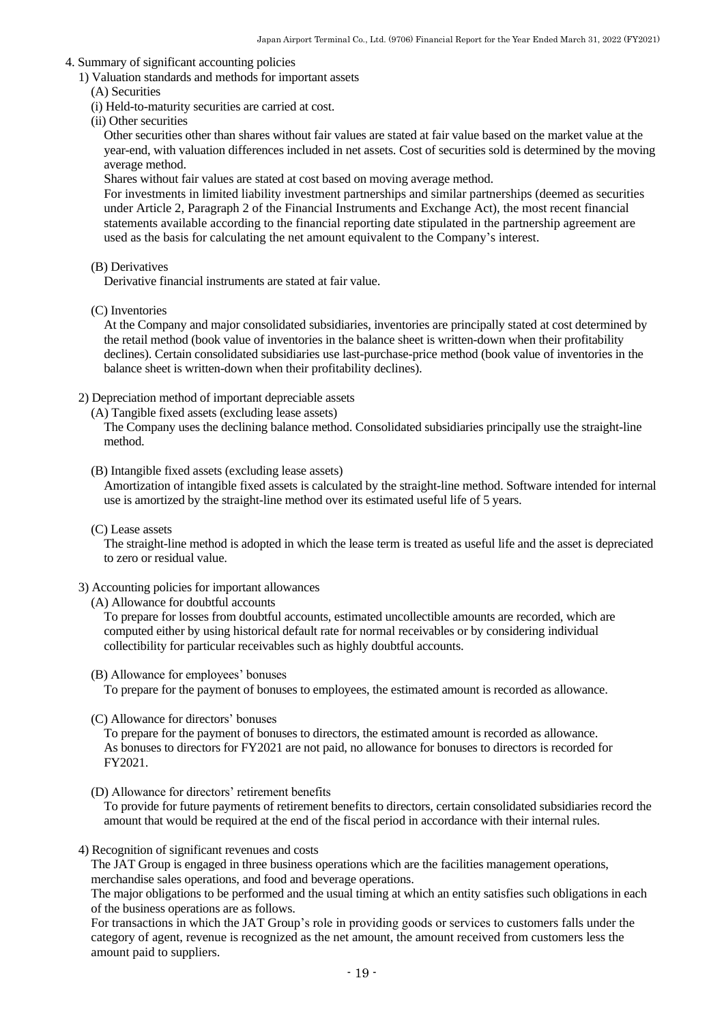#### 4. Summary of significant accounting policies

1) Valuation standards and methods for important assets

- (A) Securities
- (i) Held-to-maturity securities are carried at cost.
- (ii) Other securities

Other securities other than shares without fair values are stated at fair value based on the market value at the year-end, with valuation differences included in net assets. Cost of securities sold is determined by the moving average method.

Shares without fair values are stated at cost based on moving average method.

For investments in limited liability investment partnerships and similar partnerships (deemed as securities under Article 2, Paragraph 2 of the Financial Instruments and Exchange Act), the most recent financial statements available according to the financial reporting date stipulated in the partnership agreement are used as the basis for calculating the net amount equivalent to the Company's interest.

(B) Derivatives

Derivative financial instruments are stated at fair value.

(C) Inventories

At the Company and major consolidated subsidiaries, inventories are principally stated at cost determined by the retail method (book value of inventories in the balance sheet is written-down when their profitability declines). Certain consolidated subsidiaries use last-purchase-price method (book value of inventories in the balance sheet is written-down when their profitability declines).

- 2) Depreciation method of important depreciable assets
	- (A) Tangible fixed assets (excluding lease assets)

The Company uses the declining balance method. Consolidated subsidiaries principally use the straight-line method.

(B) Intangible fixed assets (excluding lease assets)

Amortization of intangible fixed assets is calculated by the straight-line method. Software intended for internal use is amortized by the straight-line method over its estimated useful life of 5 years.

(C) Lease assets

The straight-line method is adopted in which the lease term is treated as useful life and the asset is depreciated to zero or residual value.

- 3) Accounting policies for important allowances
	- (A) Allowance for doubtful accounts

To prepare for losses from doubtful accounts, estimated uncollectible amounts are recorded, which are computed either by using historical default rate for normal receivables or by considering individual collectibility for particular receivables such as highly doubtful accounts.

(B) Allowance for employees' bonuses

To prepare for the payment of bonuses to employees, the estimated amount is recorded as allowance.

(C) Allowance for directors' bonuses

To prepare for the payment of bonuses to directors, the estimated amount is recorded as allowance. As bonuses to directors for FY2021 are not paid, no allowance for bonuses to directors is recorded for FY2021.

(D) Allowance for directors' retirement benefits

To provide for future payments of retirement benefits to directors, certain consolidated subsidiaries record the amount that would be required at the end of the fiscal period in accordance with their internal rules.

4) Recognition of significant revenues and costs

The JAT Group is engaged in three business operations which are the facilities management operations, merchandise sales operations, and food and beverage operations.

The major obligations to be performed and the usual timing at which an entity satisfies such obligations in each of the business operations are as follows.

For transactions in which the JAT Group's role in providing goods or services to customers falls under the category of agent, revenue is recognized as the net amount, the amount received from customers less the amount paid to suppliers.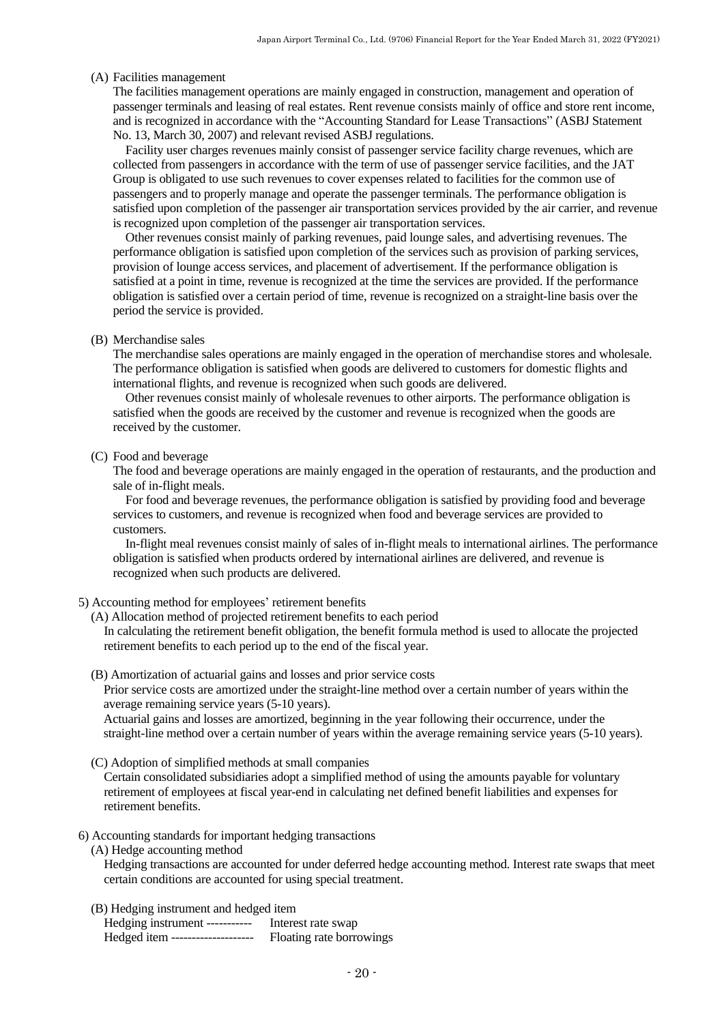#### (A) Facilities management

The facilities management operations are mainly engaged in construction, management and operation of passenger terminals and leasing of real estates. Rent revenue consists mainly of office and store rent income, and is recognized in accordance with the "Accounting Standard for Lease Transactions" (ASBJ Statement No. 13, March 30, 2007) and relevant revised ASBJ regulations.

Facility user charges revenues mainly consist of passenger service facility charge revenues, which are collected from passengers in accordance with the term of use of passenger service facilities, and the JAT Group is obligated to use such revenues to cover expenses related to facilities for the common use of passengers and to properly manage and operate the passenger terminals. The performance obligation is satisfied upon completion of the passenger air transportation services provided by the air carrier, and revenue is recognized upon completion of the passenger air transportation services.

Other revenues consist mainly of parking revenues, paid lounge sales, and advertising revenues. The performance obligation is satisfied upon completion of the services such as provision of parking services, provision of lounge access services, and placement of advertisement. If the performance obligation is satisfied at a point in time, revenue is recognized at the time the services are provided. If the performance obligation is satisfied over a certain period of time, revenue is recognized on a straight-line basis over the period the service is provided.

#### (B) Merchandise sales

The merchandise sales operations are mainly engaged in the operation of merchandise stores and wholesale. The performance obligation is satisfied when goods are delivered to customers for domestic flights and international flights, and revenue is recognized when such goods are delivered.

Other revenues consist mainly of wholesale revenues to other airports. The performance obligation is satisfied when the goods are received by the customer and revenue is recognized when the goods are received by the customer.

#### (C) Food and beverage

The food and beverage operations are mainly engaged in the operation of restaurants, and the production and sale of in-flight meals.

For food and beverage revenues, the performance obligation is satisfied by providing food and beverage services to customers, and revenue is recognized when food and beverage services are provided to customers.

In-flight meal revenues consist mainly of sales of in-flight meals to international airlines. The performance obligation is satisfied when products ordered by international airlines are delivered, and revenue is recognized when such products are delivered.

#### 5) Accounting method for employees' retirement benefits

(A) Allocation method of projected retirement benefits to each period

In calculating the retirement benefit obligation, the benefit formula method is used to allocate the projected retirement benefits to each period up to the end of the fiscal year.

#### (B) Amortization of actuarial gains and losses and prior service costs

Prior service costs are amortized under the straight-line method over a certain number of years within the average remaining service years (5-10 years).

Actuarial gains and losses are amortized, beginning in the year following their occurrence, under the straight-line method over a certain number of years within the average remaining service years (5-10 years).

(C) Adoption of simplified methods at small companies

Certain consolidated subsidiaries adopt a simplified method of using the amounts payable for voluntary retirement of employees at fiscal year-end in calculating net defined benefit liabilities and expenses for retirement benefits.

#### 6) Accounting standards for important hedging transactions

(A) Hedge accounting method

Hedging transactions are accounted for under deferred hedge accounting method. Interest rate swaps that meet certain conditions are accounted for using special treatment.

#### (B) Hedging instrument and hedged item

| Hedging instrument -----------   | Interest rate swap       |
|----------------------------------|--------------------------|
| Hedged item -------------------- | Floating rate borrowings |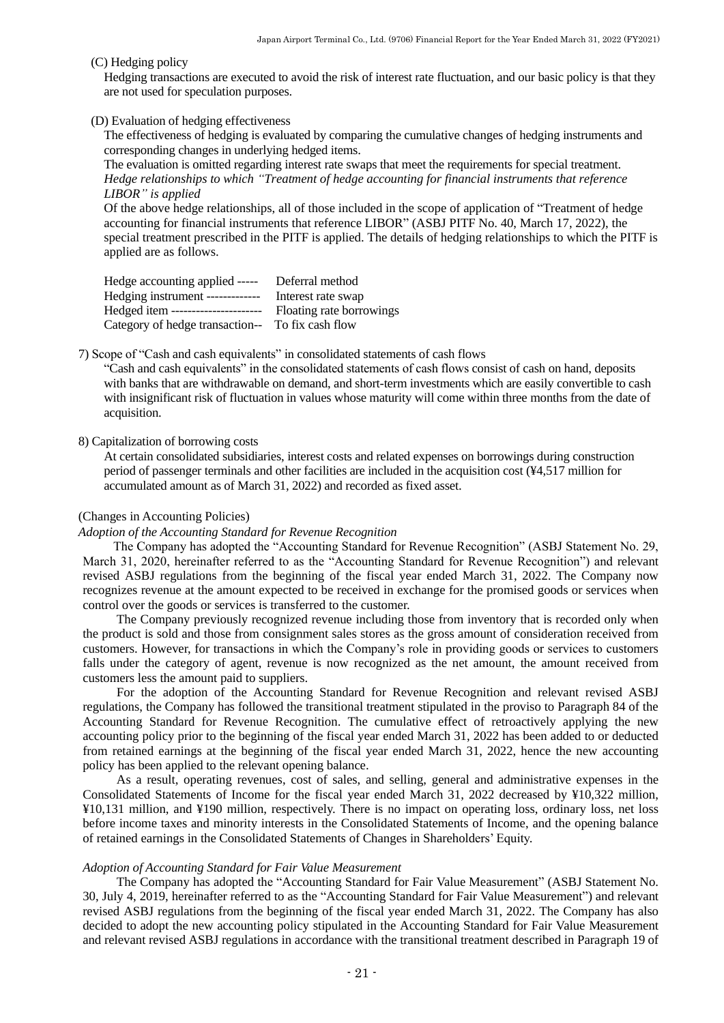#### (C) Hedging policy

Hedging transactions are executed to avoid the risk of interest rate fluctuation, and our basic policy is that they are not used for speculation purposes.

#### (D) Evaluation of hedging effectiveness

The effectiveness of hedging is evaluated by comparing the cumulative changes of hedging instruments and corresponding changes in underlying hedged items.

The evaluation is omitted regarding interest rate swaps that meet the requirements for special treatment. *Hedge relationships to which "Treatment of hedge accounting for financial instruments that reference LIBOR" is applied*

Of the above hedge relationships, all of those included in the scope of application of "Treatment of hedge accounting for financial instruments that reference LIBOR" (ASBJ PITF No. 40, March 17, 2022), the special treatment prescribed in the PITF is applied. The details of hedging relationships to which the PITF is applied are as follows.

| Hedge accounting applied -----                   | Deferral method          |
|--------------------------------------------------|--------------------------|
| Hedging instrument -------------                 | Interest rate swap       |
| Hedged item ----------------------               | Floating rate borrowings |
| Category of hedge transaction-- To fix cash flow |                          |

7) Scope of "Cash and cash equivalents" in consolidated statements of cash flows

"Cash and cash equivalents" in the consolidated statements of cash flows consist of cash on hand, deposits with banks that are withdrawable on demand, and short-term investments which are easily convertible to cash with insignificant risk of fluctuation in values whose maturity will come within three months from the date of acquisition.

#### 8) Capitalization of borrowing costs

At certain consolidated subsidiaries, interest costs and related expenses on borrowings during construction period of passenger terminals and other facilities are included in the acquisition cost (¥4,517 million for accumulated amount as of March 31, 2022) and recorded as fixed asset.

#### <span id="page-22-0"></span>(Changes in Accounting Policies)

#### *Adoption of the Accounting Standard for Revenue Recognition*

The Company has adopted the "Accounting Standard for Revenue Recognition" (ASBJ Statement No. 29, March 31, 2020, hereinafter referred to as the "Accounting Standard for Revenue Recognition") and relevant revised ASBJ regulations from the beginning of the fiscal year ended March 31, 2022. The Company now recognizes revenue at the amount expected to be received in exchange for the promised goods or services when control over the goods or services is transferred to the customer.

The Company previously recognized revenue including those from inventory that is recorded only when the product is sold and those from consignment sales stores as the gross amount of consideration received from customers. However, for transactions in which the Company's role in providing goods or services to customers falls under the category of agent, revenue is now recognized as the net amount, the amount received from customers less the amount paid to suppliers.

For the adoption of the Accounting Standard for Revenue Recognition and relevant revised ASBJ regulations, the Company has followed the transitional treatment stipulated in the proviso to Paragraph 84 of the Accounting Standard for Revenue Recognition. The cumulative effect of retroactively applying the new accounting policy prior to the beginning of the fiscal year ended March 31, 2022 has been added to or deducted from retained earnings at the beginning of the fiscal year ended March 31, 2022, hence the new accounting policy has been applied to the relevant opening balance.

As a result, operating revenues, cost of sales, and selling, general and administrative expenses in the Consolidated Statements of Income for the fiscal year ended March 31, 2022 decreased by ¥10,322 million, ¥10,131 million, and ¥190 million, respectively. There is no impact on operating loss, ordinary loss, net loss before income taxes and minority interests in the Consolidated Statements of Income, and the opening balance of retained earnings in the Consolidated Statements of Changes in Shareholders' Equity.

#### *Adoption of Accounting Standard for Fair Value Measurement*

The Company has adopted the "Accounting Standard for Fair Value Measurement" (ASBJ Statement No. 30, July 4, 2019, hereinafter referred to as the "Accounting Standard for Fair Value Measurement") and relevant revised ASBJ regulations from the beginning of the fiscal year ended March 31, 2022. The Company has also decided to adopt the new accounting policy stipulated in the Accounting Standard for Fair Value Measurement and relevant revised ASBJ regulations in accordance with the transitional treatment described in Paragraph 19 of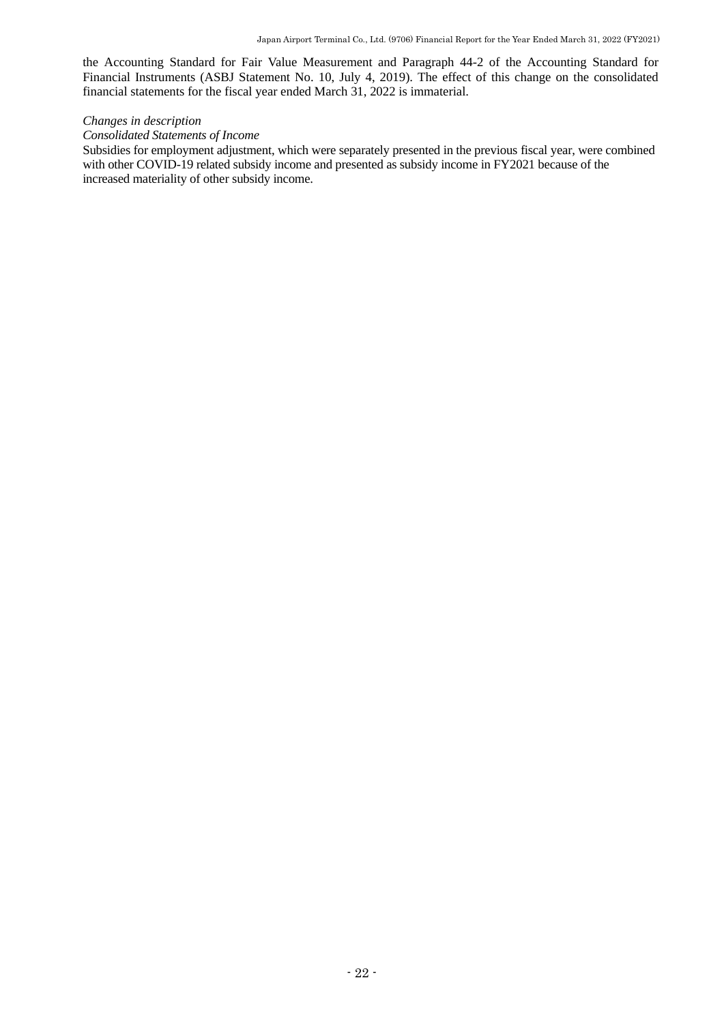the Accounting Standard for Fair Value Measurement and Paragraph 44-2 of the Accounting Standard for Financial Instruments (ASBJ Statement No. 10, July 4, 2019). The effect of this change on the consolidated financial statements for the fiscal year ended March 31, 2022 is immaterial.

#### *Changes in description*

#### *Consolidated Statements of Income*

Subsidies for employment adjustment, which were separately presented in the previous fiscal year, were combined with other COVID-19 related subsidy income and presented as subsidy income in FY2021 because of the increased materiality of other subsidy income.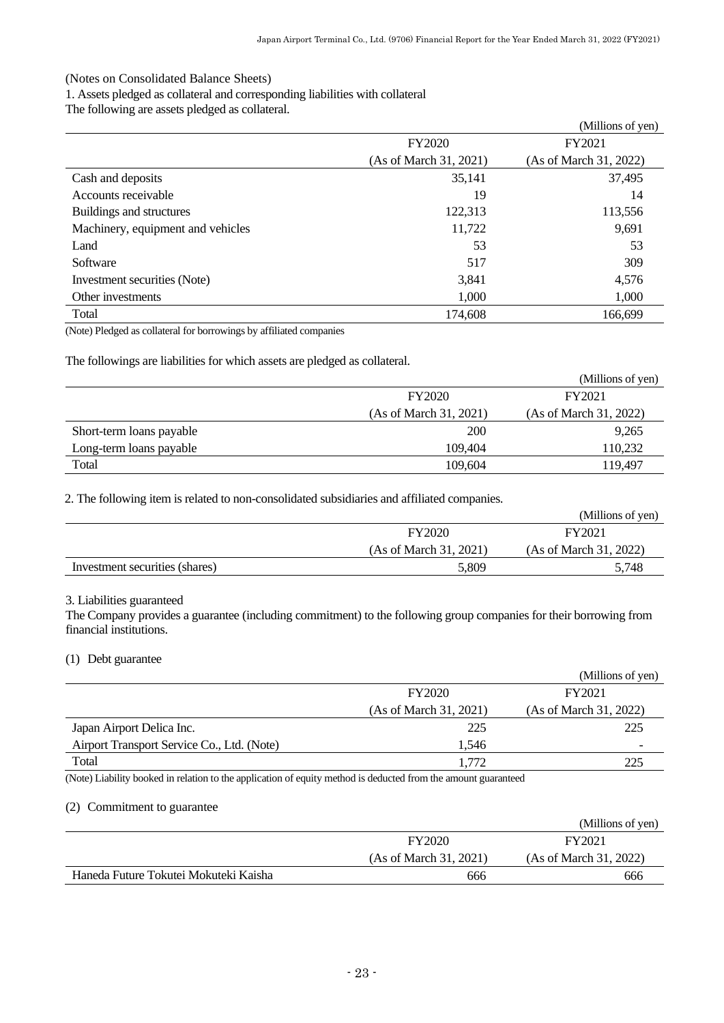## <span id="page-24-0"></span>(Notes on Consolidated Balance Sheets)

1. Assets pledged as collateral and corresponding liabilities with collateral

The following are assets pledged as collateral.

|                                   |                        | (Millions of yen)      |
|-----------------------------------|------------------------|------------------------|
|                                   | FY2020                 | FY2021                 |
|                                   | (As of March 31, 2021) | (As of March 31, 2022) |
| Cash and deposits                 | 35,141                 | 37,495                 |
| Accounts receivable               | 19                     | 14                     |
| Buildings and structures          | 122,313                | 113,556                |
| Machinery, equipment and vehicles | 11,722                 | 9,691                  |
| Land                              | 53                     | 53                     |
| Software                          | 517                    | 309                    |
| Investment securities (Note)      | 3,841                  | 4,576                  |
| Other investments                 | 1,000                  | 1,000                  |
| Total                             | 174,608                | 166,699                |

(Note) Pledged as collateral for borrowings by affiliated companies

The followings are liabilities for which assets are pledged as collateral.

|                          |                        | (Millions of yen)      |
|--------------------------|------------------------|------------------------|
|                          | <b>FY2020</b>          | FY2021                 |
|                          | (As of March 31, 2021) | (As of March 31, 2022) |
| Short-term loans payable | 200                    | 9,265                  |
| Long-term loans payable  | 109.404                | 110,232                |
| Total                    | 109,604                | 119.497                |

2. The following item is related to non-consolidated subsidiaries and affiliated companies.

|                                |                        | (Millions of yen)      |
|--------------------------------|------------------------|------------------------|
|                                | FY2020                 | FY2021                 |
|                                | (As of March 31, 2021) | (As of March 31, 2022) |
| Investment securities (shares) | 5.809                  | 5,748                  |

## 3. Liabilities guaranteed

The Company provides a guarantee (including commitment) to the following group companies for their borrowing from financial institutions.

# (1) Debt guarantee

|                                            |                        | (Millions of yen)      |
|--------------------------------------------|------------------------|------------------------|
|                                            | FY2020                 | FY2021                 |
|                                            | (As of March 31, 2021) | (As of March 31, 2022) |
| Japan Airport Delica Inc.                  | 225                    | 225                    |
| Airport Transport Service Co., Ltd. (Note) | 1.546                  |                        |
| Total                                      | .772                   | 225                    |

(Note) Liability booked in relation to the application of equity method is deducted from the amount guaranteed

### (2) Commitment to guarantee

|                                       |                        | (Millions of yen)      |
|---------------------------------------|------------------------|------------------------|
|                                       | FY2020                 | FY2021                 |
|                                       | (As of March 31, 2021) | (As of March 31, 2022) |
| Haneda Future Tokutei Mokuteki Kaisha | 666                    | 666                    |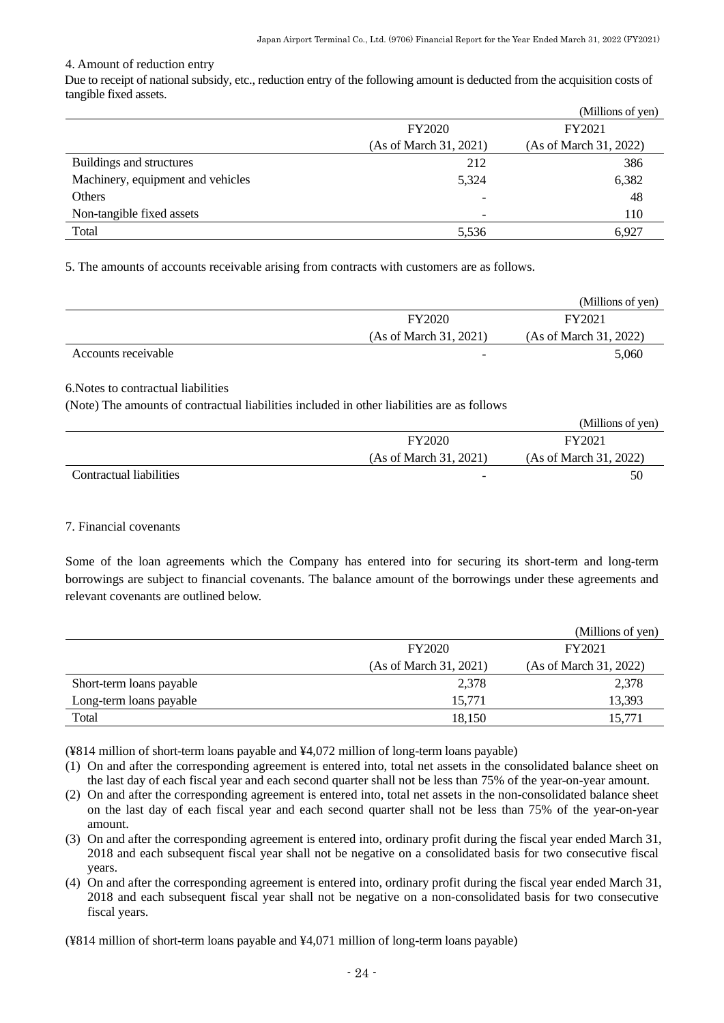### 4. Amount of reduction entry

Due to receipt of national subsidy, etc., reduction entry of the following amount is deducted from the acquisition costs of tangible fixed assets.

|                                   |                          | (Millions of yen)      |
|-----------------------------------|--------------------------|------------------------|
|                                   | <b>FY2020</b>            | FY2021                 |
|                                   | (As of March 31, 2021)   | (As of March 31, 2022) |
| Buildings and structures          | 212                      | 386                    |
| Machinery, equipment and vehicles | 5,324                    | 6,382                  |
| Others                            | $\overline{\phantom{a}}$ | 48                     |
| Non-tangible fixed assets         | $\overline{\phantom{a}}$ | 110                    |
| Total                             | 5,536                    | 6.927                  |

5. The amounts of accounts receivable arising from contracts with customers are as follows.

|                     |                          | (Millions of yen)      |
|---------------------|--------------------------|------------------------|
|                     | <b>FY2020</b>            | FY2021                 |
|                     | (As of March 31, 2021)   | (As of March 31, 2022) |
| Accounts receivable | $\overline{\phantom{0}}$ | 5,060                  |

6.Notes to contractual liabilities

(Note) The amounts of contractual liabilities included in other liabilities are as follows

|                         |                          | (Millions of yen)      |
|-------------------------|--------------------------|------------------------|
|                         | <b>FY2020</b>            | FY2021                 |
|                         | (As of March 31, 2021)   | (As of March 31, 2022) |
| Contractual liabilities | $\overline{\phantom{0}}$ | 50                     |

#### 7. Financial covenants

Some of the loan agreements which the Company has entered into for securing its short-term and long-term borrowings are subject to financial covenants. The balance amount of the borrowings under these agreements and relevant covenants are outlined below.

|                          |                        | (Millions of yen)      |
|--------------------------|------------------------|------------------------|
|                          | <b>FY2020</b>          | FY2021                 |
|                          | (As of March 31, 2021) | (As of March 31, 2022) |
| Short-term loans payable | 2,378                  | 2,378                  |
| Long-term loans payable  | 15,771                 | 13,393                 |
| Total                    | 18.150                 | 15.771                 |

(¥814 million of short-term loans payable and ¥4,072 million of long-term loans payable)

- (1) On and after the corresponding agreement is entered into, total net assets in the consolidated balance sheet on the last day of each fiscal year and each second quarter shall not be less than 75% of the year-on-year amount.
- (2) On and after the corresponding agreement is entered into, total net assets in the non-consolidated balance sheet on the last day of each fiscal year and each second quarter shall not be less than 75% of the year-on-year amount.
- (3) On and after the corresponding agreement is entered into, ordinary profit during the fiscal year ended March 31, 2018 and each subsequent fiscal year shall not be negative on a consolidated basis for two consecutive fiscal years.
- (4) On and after the corresponding agreement is entered into, ordinary profit during the fiscal year ended March 31, 2018 and each subsequent fiscal year shall not be negative on a non-consolidated basis for two consecutive fiscal years.

(¥814 million of short-term loans payable and ¥4,071 million of long-term loans payable)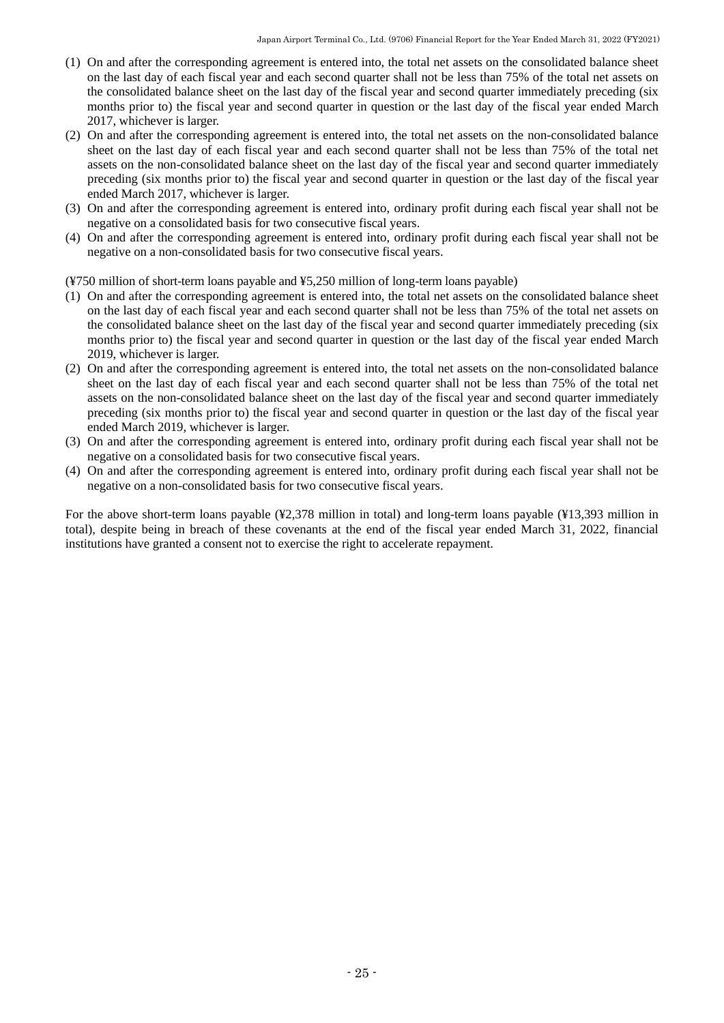- (1) On and after the corresponding agreement is entered into, the total net assets on the consolidated balance sheet on the last day of each fiscal year and each second quarter shall not be less than 75% of the total net assets on the consolidated balance sheet on the last day of the fiscal year and second quarter immediately preceding (six months prior to) the fiscal year and second quarter in question or the last day of the fiscal year ended March 2017, whichever is larger.
- (2) On and after the corresponding agreement is entered into, the total net assets on the non-consolidated balance sheet on the last day of each fiscal year and each second quarter shall not be less than 75% of the total net assets on the non-consolidated balance sheet on the last day of the fiscal year and second quarter immediately preceding (six months prior to) the fiscal year and second quarter in question or the last day of the fiscal year ended March 2017, whichever is larger.
- (3) On and after the corresponding agreement is entered into, ordinary profit during each fiscal year shall not be negative on a consolidated basis for two consecutive fiscal years.
- (4) On and after the corresponding agreement is entered into, ordinary profit during each fiscal year shall not be negative on a non-consolidated basis for two consecutive fiscal years.

(¥750 million of short-term loans payable and ¥5,250 million of long-term loans payable)

- (1) On and after the corresponding agreement is entered into, the total net assets on the consolidated balance sheet on the last day of each fiscal year and each second quarter shall not be less than 75% of the total net assets on the consolidated balance sheet on the last day of the fiscal year and second quarter immediately preceding (six months prior to) the fiscal year and second quarter in question or the last day of the fiscal year ended March 2019, whichever is larger.
- (2) On and after the corresponding agreement is entered into, the total net assets on the non-consolidated balance sheet on the last day of each fiscal year and each second quarter shall not be less than 75% of the total net assets on the non-consolidated balance sheet on the last day of the fiscal year and second quarter immediately preceding (six months prior to) the fiscal year and second quarter in question or the last day of the fiscal year ended March 2019, whichever is larger.
- (3) On and after the corresponding agreement is entered into, ordinary profit during each fiscal year shall not be negative on a consolidated basis for two consecutive fiscal years.
- (4) On and after the corresponding agreement is entered into, ordinary profit during each fiscal year shall not be negative on a non-consolidated basis for two consecutive fiscal years.

For the above short-term loans payable (¥2,378 million in total) and long-term loans payable (¥13,393 million in total), despite being in breach of these covenants at the end of the fiscal year ended March 31, 2022, financial institutions have granted a consent not to exercise the right to accelerate repayment.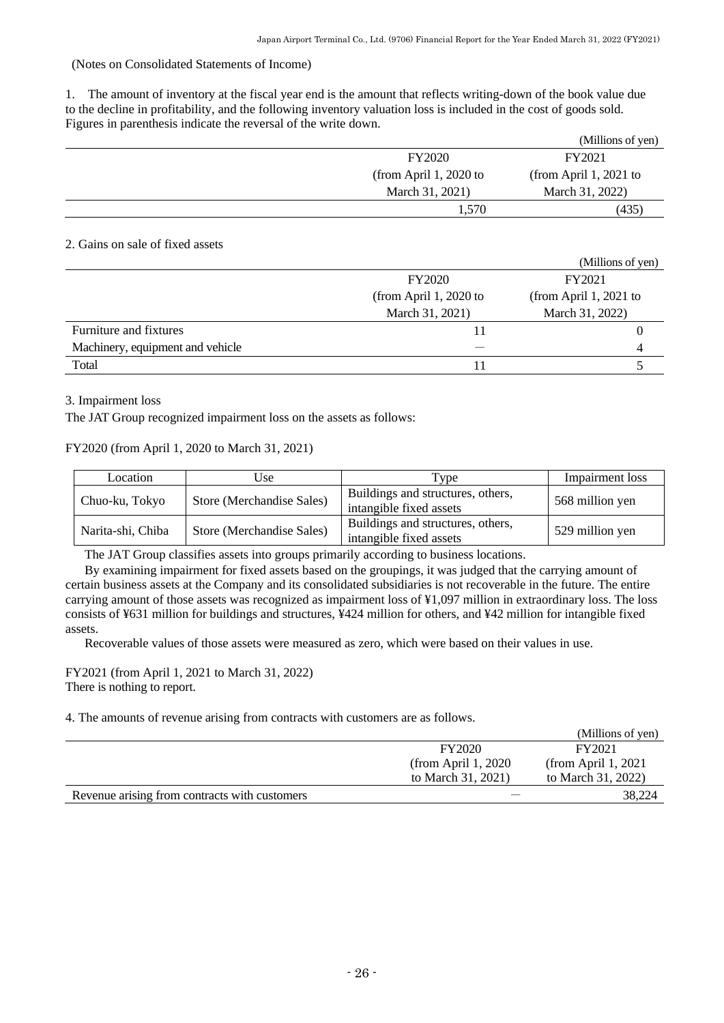# <span id="page-27-0"></span>(Notes on Consolidated Statements of Income)

1. The amount of inventory at the fiscal year end is the amount that reflects writing-down of the book value due to the decline in profitability, and the following inventory valuation loss is included in the cost of goods sold. Figures in parenthesis indicate the reversal of the write down.

|                        | (Millions of yen)      |
|------------------------|------------------------|
| <b>FY2020</b>          | FY2021                 |
| (from April 1, 2020 to | (from April 1, 2021 to |
| March 31, 2021)        | March 31, 2022)        |
| 1.570                  | (435)                  |

# 2. Gains on sale of fixed assets

|                                  |                        | (Millions of yen)      |
|----------------------------------|------------------------|------------------------|
|                                  | <b>FY2020</b>          | FY2021                 |
|                                  | (from April 1, 2020 to | (from April 1, 2021 to |
|                                  | March 31, 2021)        | March 31, 2022)        |
| Furniture and fixtures           |                        |                        |
| Machinery, equipment and vehicle |                        |                        |
| Total                            |                        |                        |

# 3. Impairment loss

The JAT Group recognized impairment loss on the assets as follows:

# FY2020 (from April 1, 2020 to March 31, 2021)

| Location          | Use                       | Type                                                         | Impairment loss |
|-------------------|---------------------------|--------------------------------------------------------------|-----------------|
| Chuo-ku, Tokyo    | Store (Merchandise Sales) | Buildings and structures, others,<br>intangible fixed assets | 568 million yen |
| Narita-shi, Chiba | Store (Merchandise Sales) | Buildings and structures, others,<br>intangible fixed assets | 529 million yen |

The JAT Group classifies assets into groups primarily according to business locations.

By examining impairment for fixed assets based on the groupings, it was judged that the carrying amount of certain business assets at the Company and its consolidated subsidiaries is not recoverable in the future. The entire carrying amount of those assets was recognized as impairment loss of ¥1,097 million in extraordinary loss. The loss consists of ¥631 million for buildings and structures, ¥424 million for others, and ¥42 million for intangible fixed assets.

Recoverable values of those assets were measured as zero, which were based on their values in use.

### FY2021 (from April 1, 2021 to March 31, 2022) There is nothing to report.

4. The amounts of revenue arising from contracts with customers are as follows.

|                                               |                      | (Millions of yen)    |
|-----------------------------------------------|----------------------|----------------------|
|                                               | <b>FY2020</b>        | FY2021               |
|                                               | (from April $1,2020$ | (from April 1, 2021) |
|                                               | to March 31, 2021)   | to March 31, 2022)   |
| Revenue arising from contracts with customers |                      | 38,224               |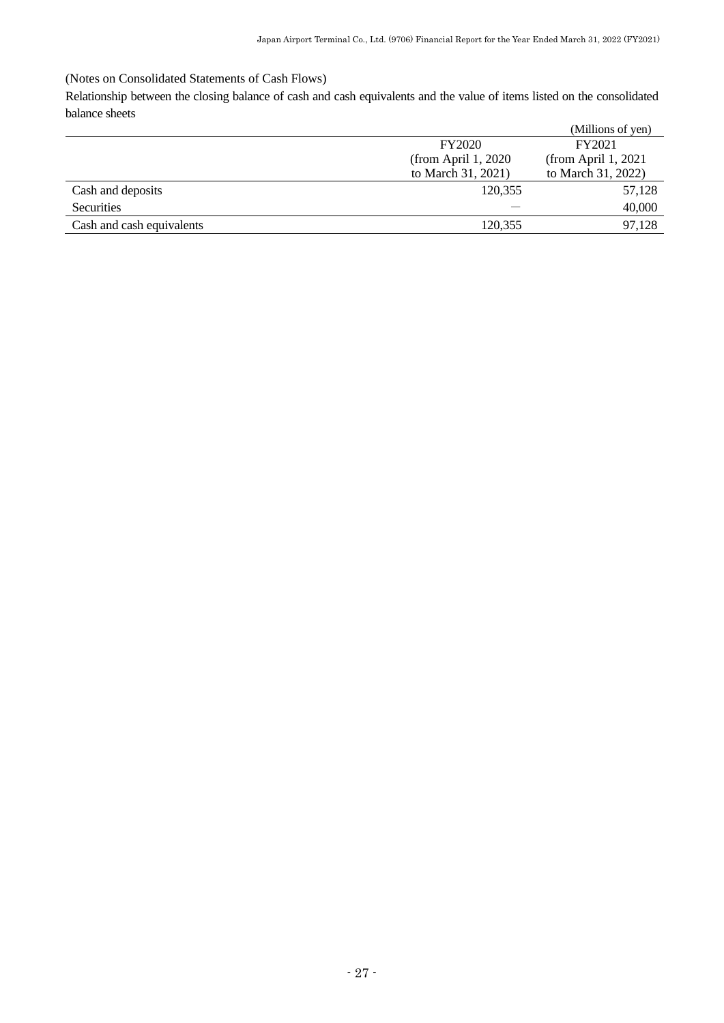# <span id="page-28-0"></span>(Notes on Consolidated Statements of Cash Flows)

Relationship between the closing balance of cash and cash equivalents and the value of items listed on the consolidated balance sheets

|                           |                      | (Millions of yen)    |
|---------------------------|----------------------|----------------------|
|                           | <b>FY2020</b>        | FY2021               |
|                           | (from April $1,2020$ | (from April $1,2021$ |
|                           | to March 31, 2021)   | to March 31, 2022)   |
| Cash and deposits         | 120,355              | 57,128               |
| <b>Securities</b>         |                      | 40,000               |
| Cash and cash equivalents | 120.355              | 97,128               |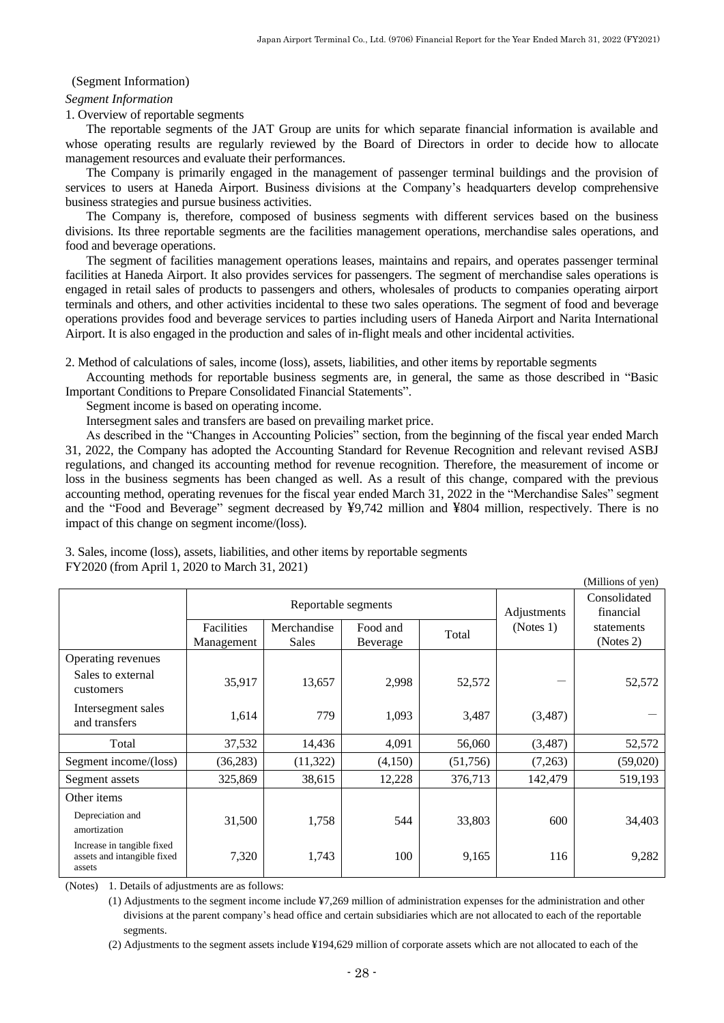#### <span id="page-29-0"></span>(Segment Information)

#### *Segment Information*

1. Overview of reportable segments

The reportable segments of the JAT Group are units for which separate financial information is available and whose operating results are regularly reviewed by the Board of Directors in order to decide how to allocate management resources and evaluate their performances.

The Company is primarily engaged in the management of passenger terminal buildings and the provision of services to users at Haneda Airport. Business divisions at the Company's headquarters develop comprehensive business strategies and pursue business activities.

The Company is, therefore, composed of business segments with different services based on the business divisions. Its three reportable segments are the facilities management operations, merchandise sales operations, and food and beverage operations.

The segment of facilities management operations leases, maintains and repairs, and operates passenger terminal facilities at Haneda Airport. It also provides services for passengers. The segment of merchandise sales operations is engaged in retail sales of products to passengers and others, wholesales of products to companies operating airport terminals and others, and other activities incidental to these two sales operations. The segment of food and beverage operations provides food and beverage services to parties including users of Haneda Airport and Narita International Airport. It is also engaged in the production and sales of in-flight meals and other incidental activities.

2. Method of calculations of sales, income (loss), assets, liabilities, and other items by reportable segments

Accounting methods for reportable business segments are, in general, the same as those described in "Basic Important Conditions to Prepare Consolidated Financial Statements".

Segment income is based on operating income.

Intersegment sales and transfers are based on prevailing market price.

As described in the "Changes in Accounting Policies" section, from the beginning of the fiscal year ended March 31, 2022, the Company has adopted the Accounting Standard for Revenue Recognition and relevant revised ASBJ regulations, and changed its accounting method for revenue recognition. Therefore, the measurement of income or loss in the business segments has been changed as well. As a result of this change, compared with the previous accounting method, operating revenues for the fiscal year ended March 31, 2022 in the "Merchandise Sales" segment and the "Food and Beverage" segment decreased by ¥9,742 million and ¥804 million, respectively. There is no impact of this change on segment income/(loss).

3. Sales, income (loss), assets, liabilities, and other items by reportable segments FY2020 (from April 1, 2020 to March 31, 2021)

|                                                                     |                          |                      |                      |          |           | (Millions of yen)         |
|---------------------------------------------------------------------|--------------------------|----------------------|----------------------|----------|-----------|---------------------------|
|                                                                     |                          | Reportable segments  |                      |          |           | Consolidated<br>financial |
|                                                                     | Facilities<br>Management | Merchandise<br>Sales | Food and<br>Beverage | Total    | (Notes 1) | statements<br>(Notes 2)   |
| Operating revenues<br>Sales to external<br>customers                | 35,917                   | 13,657               | 2,998                | 52,572   |           | 52,572                    |
| Intersegment sales<br>and transfers                                 | 1,614                    | 779                  | 1,093                | 3,487    | (3,487)   |                           |
| Total                                                               | 37,532                   | 14,436               | 4,091                | 56,060   | (3,487)   | 52,572                    |
| Segment income/(loss)                                               | (36, 283)                | (11,322)             | (4,150)              | (51,756) | (7,263)   | (59,020)                  |
| Segment assets                                                      | 325,869                  | 38,615               | 12,228               | 376,713  | 142,479   | 519,193                   |
| Other items                                                         |                          |                      |                      |          |           |                           |
| Depreciation and<br>amortization                                    | 31,500                   | 1,758                | 544                  | 33,803   | 600       | 34,403                    |
| Increase in tangible fixed<br>assets and intangible fixed<br>assets | 7,320                    | 1,743                | 100                  | 9,165    | 116       | 9,282                     |

(Notes) 1. Details of adjustments are as follows:

(1) Adjustments to the segment income include ¥7,269 million of administration expenses for the administration and other divisions at the parent company's head office and certain subsidiaries which are not allocated to each of the reportable segments.

(2) Adjustments to the segment assets include ¥194,629 million of corporate assets which are not allocated to each of the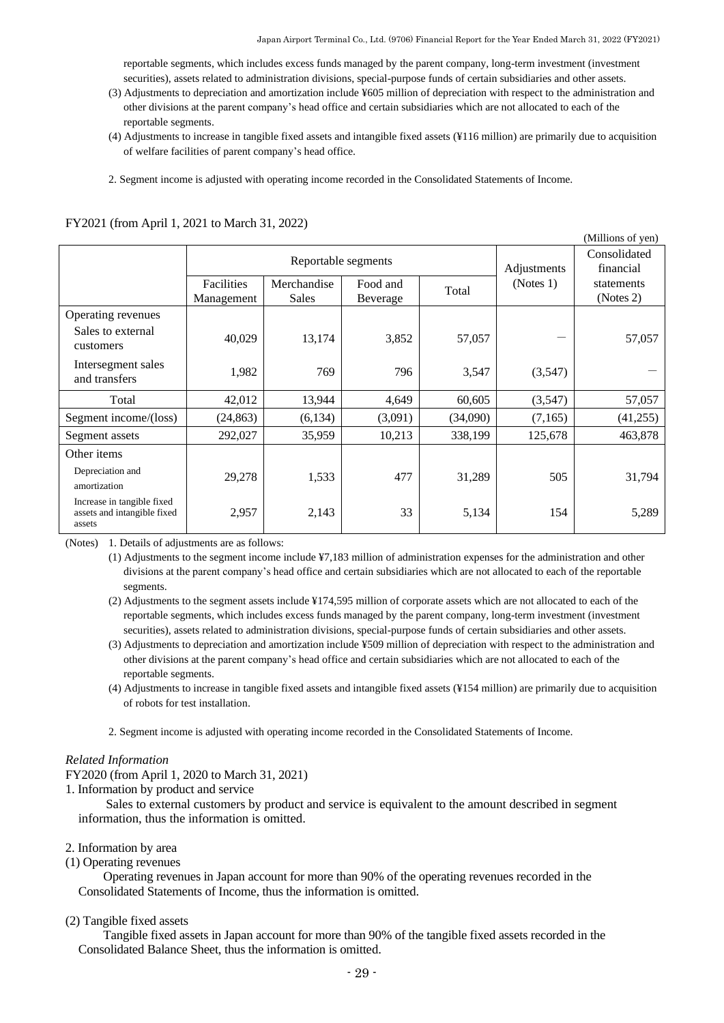reportable segments, which includes excess funds managed by the parent company, long-term investment (investment securities), assets related to administration divisions, special-purpose funds of certain subsidiaries and other assets.

- (3) Adjustments to depreciation and amortization include ¥605 million of depreciation with respect to the administration and other divisions at the parent company's head office and certain subsidiaries which are not allocated to each of the reportable segments.
- (4) Adjustments to increase in tangible fixed assets and intangible fixed assets (¥116 million) are primarily due to acquisition of welfare facilities of parent company's head office.
- 2. Segment income is adjusted with operating income recorded in the Consolidated Statements of Income.

| (Millions of yen)                                                   |                          |                             |                      |          |             |                           |
|---------------------------------------------------------------------|--------------------------|-----------------------------|----------------------|----------|-------------|---------------------------|
|                                                                     | Reportable segments      |                             |                      |          | Adjustments | Consolidated<br>financial |
|                                                                     | Facilities<br>Management | Merchandise<br><b>Sales</b> | Food and<br>Beverage | Total    | (Notes 1)   | statements<br>(Notes 2)   |
| Operating revenues                                                  |                          |                             |                      |          |             |                           |
| Sales to external<br>customers                                      | 40,029                   | 13,174                      | 3,852                | 57,057   |             | 57,057                    |
| Intersegment sales<br>and transfers                                 | 1,982                    | 769                         | 796                  | 3,547    | (3,547)     |                           |
| Total                                                               | 42,012                   | 13,944                      | 4,649                | 60,605   | (3,547)     | 57,057                    |
| Segment income/(loss)                                               | (24, 863)                | (6,134)                     | (3,091)              | (34,090) | (7,165)     | (41,255)                  |
| Segment assets                                                      | 292,027                  | 35,959                      | 10,213               | 338,199  | 125,678     | 463,878                   |
| Other items                                                         |                          |                             |                      |          |             |                           |
| Depreciation and<br>amortization                                    | 29,278                   | 1,533                       | 477                  | 31,289   | 505         | 31,794                    |
| Increase in tangible fixed<br>assets and intangible fixed<br>assets | 2,957                    | 2,143                       | 33                   | 5,134    | 154         | 5,289                     |

FY2021 (from April 1, 2021 to March 31, 2022)

(Notes) 1. Details of adjustments are as follows:

(1) Adjustments to the segment income include ¥7,183 million of administration expenses for the administration and other divisions at the parent company's head office and certain subsidiaries which are not allocated to each of the reportable segments.

(2) Adjustments to the segment assets include ¥174,595 million of corporate assets which are not allocated to each of the reportable segments, which includes excess funds managed by the parent company, long-term investment (investment securities), assets related to administration divisions, special-purpose funds of certain subsidiaries and other assets.

- (3) Adjustments to depreciation and amortization include ¥509 million of depreciation with respect to the administration and other divisions at the parent company's head office and certain subsidiaries which are not allocated to each of the reportable segments.
- (4) Adjustments to increase in tangible fixed assets and intangible fixed assets (¥154 million) are primarily due to acquisition of robots for test installation.

2. Segment income is adjusted with operating income recorded in the Consolidated Statements of Income.

#### *Related Information*

FY2020 (from April 1, 2020 to March 31, 2021)

1. Information by product and service

Sales to external customers by product and service is equivalent to the amount described in segment information, thus the information is omitted.

#### 2. Information by area

(1) Operating revenues

Operating revenues in Japan account for more than 90% of the operating revenues recorded in the Consolidated Statements of Income, thus the information is omitted.

(2) Tangible fixed assets

Tangible fixed assets in Japan account for more than 90% of the tangible fixed assets recorded in the Consolidated Balance Sheet, thus the information is omitted.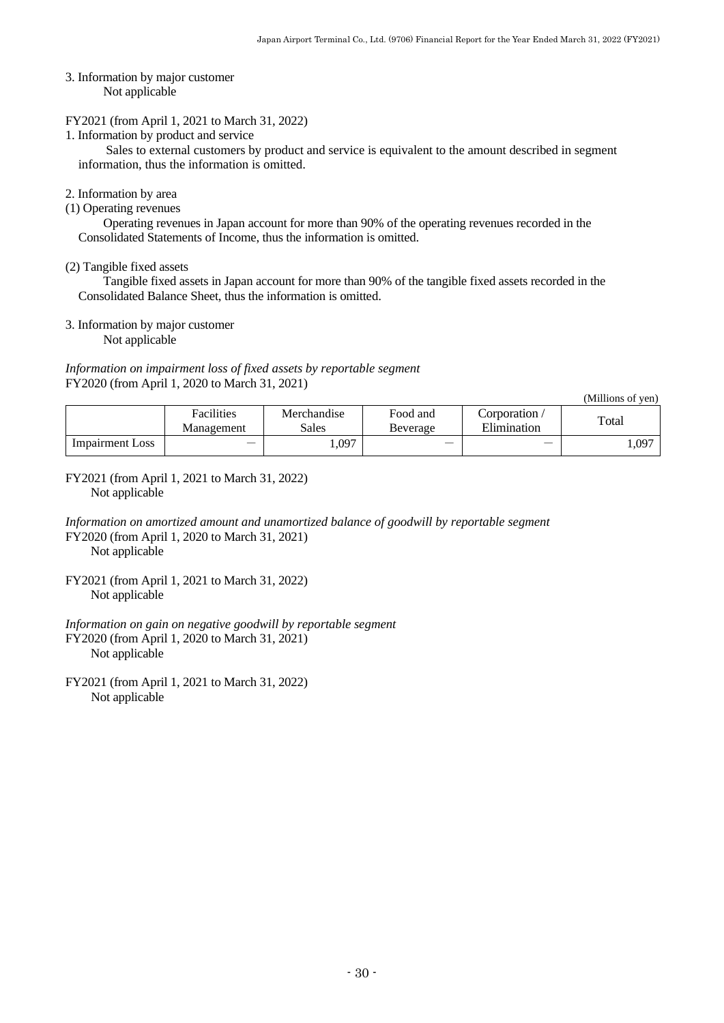3. Information by major customer Not applicable

#### FY2021 (from April 1, 2021 to March 31, 2022)

1. Information by product and service

Sales to external customers by product and service is equivalent to the amount described in segment information, thus the information is omitted.

### 2. Information by area

(1) Operating revenues

Operating revenues in Japan account for more than 90% of the operating revenues recorded in the Consolidated Statements of Income, thus the information is omitted.

(2) Tangible fixed assets

Tangible fixed assets in Japan account for more than 90% of the tangible fixed assets recorded in the Consolidated Balance Sheet, thus the information is omitted.

3. Information by major customer

Not applicable

*Information on impairment loss of fixed assets by reportable segment* FY2020 (from April 1, 2020 to March 31, 2021)

(Millions of yen)

|                 | Facilities<br>Management | Merchandise<br>Sales | Food and<br>Beverage | Corporation /<br>Elimination | Total |
|-----------------|--------------------------|----------------------|----------------------|------------------------------|-------|
| Impairment Loss |                          | .,097                |                      |                              | 1,097 |

FY2021 (from April 1, 2021 to March 31, 2022) Not applicable

*Information on amortized amount and unamortized balance of goodwill by reportable segment* FY2020 (from April 1, 2020 to March 31, 2021) Not applicable

FY2021 (from April 1, 2021 to March 31, 2022) Not applicable

*Information on gain on negative goodwill by reportable segment* FY2020 (from April 1, 2020 to March 31, 2021) Not applicable

FY2021 (from April 1, 2021 to March 31, 2022) Not applicable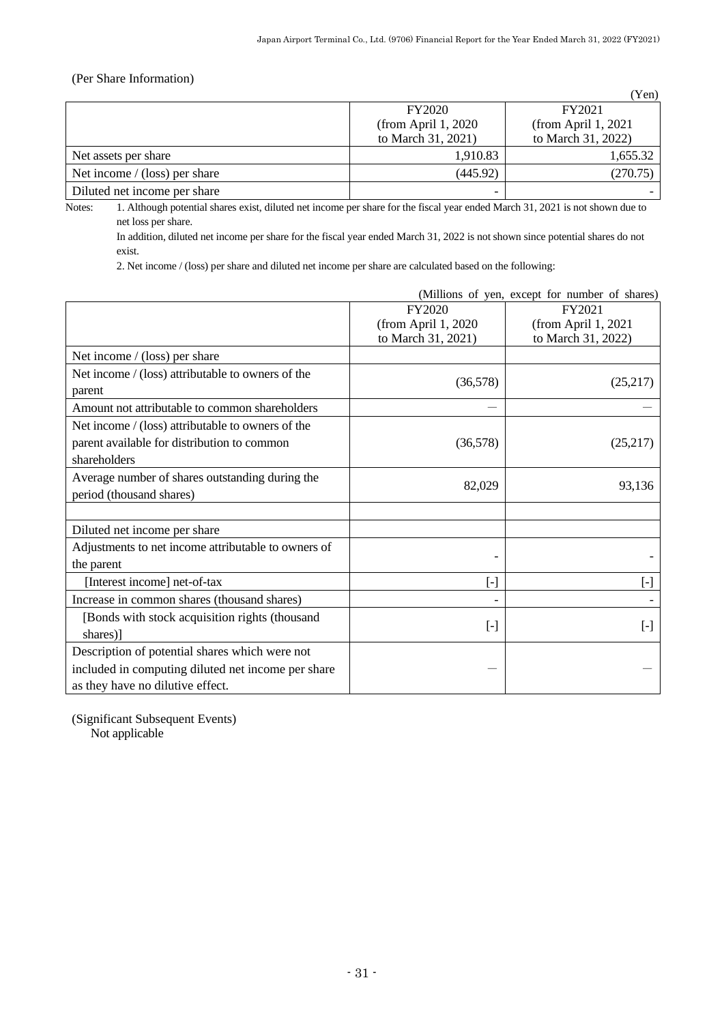# <span id="page-32-0"></span>(Per Share Information)

|                                |                          | (Yen)                |
|--------------------------------|--------------------------|----------------------|
|                                | FY2020                   | FY2021               |
|                                | (from April $1,2020$     | (from April $1,2021$ |
|                                | to March 31, 2021)       | to March 31, 2022)   |
| Net assets per share           | 1,910.83                 | 1,655.32             |
| Net income $/(loss)$ per share | (445.92)                 | (270.75)             |
| Diluted net income per share   | $\overline{\phantom{0}}$ |                      |

Notes: 1. Although potential shares exist, diluted net income per share for the fiscal year ended March 31, 2021 is not shown due to net loss per share.

In addition, diluted net income per share for the fiscal year ended March 31, 2022 is not shown since potential shares do not exist.

2. Net income / (loss) per share and diluted net income per share are calculated based on the following:

|                                                     | (Millions of yen, except for number of shares)           |                     |
|-----------------------------------------------------|----------------------------------------------------------|---------------------|
|                                                     | FY2020                                                   | FY2021              |
|                                                     | (from April 1, 2020)                                     | (from April 1, 2021 |
|                                                     | to March 31, 2021)                                       | to March 31, 2022)  |
| Net income $/$ (loss) per share                     |                                                          |                     |
| Net income / (loss) attributable to owners of the   |                                                          |                     |
| parent                                              | (36,578)                                                 | (25,217)            |
| Amount not attributable to common shareholders      |                                                          |                     |
| Net income / (loss) attributable to owners of the   |                                                          |                     |
| parent available for distribution to common         | (36,578)                                                 | (25,217)            |
| shareholders                                        |                                                          |                     |
| Average number of shares outstanding during the     | 82,029                                                   | 93,136              |
| period (thousand shares)                            |                                                          |                     |
|                                                     |                                                          |                     |
| Diluted net income per share                        |                                                          |                     |
| Adjustments to net income attributable to owners of |                                                          |                     |
| the parent                                          |                                                          |                     |
| [Interest income] net-of-tax                        | $[\text{-}]$                                             | $[\cdot]$           |
| Increase in common shares (thousand shares)         |                                                          |                     |
| [Bonds with stock acquisition rights (thousand      |                                                          |                     |
| shares)                                             | $\left[ \begin{smallmatrix} - \end{smallmatrix} \right]$ | $[\cdot]$           |
| Description of potential shares which were not      |                                                          |                     |
| included in computing diluted net income per share  |                                                          |                     |
| as they have no dilutive effect.                    |                                                          |                     |

<span id="page-32-1"></span>(Significant Subsequent Events) Not applicable